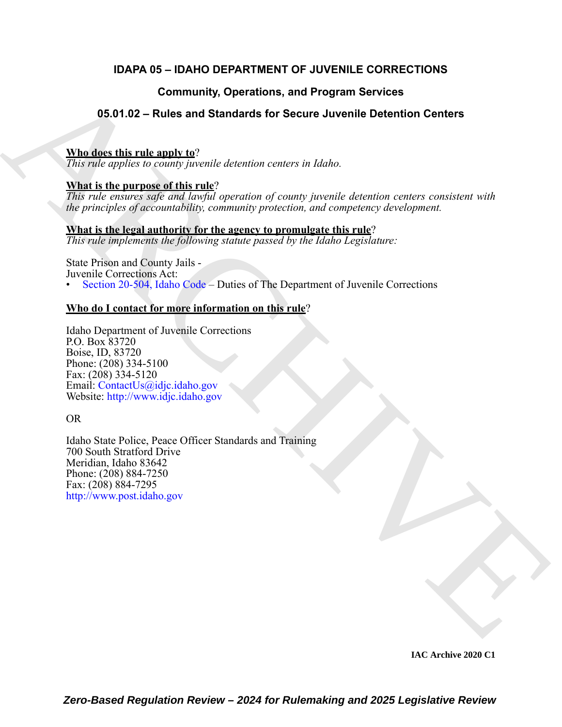### **IDAPA 05 – IDAHO DEPARTMENT OF JUVENILE CORRECTIONS**

### **Community, Operations, and Program Services**

### **05.01.02 – Rules and Standards for Secure Juvenile Detention Centers**

#### **Who does this rule apply to**?

*This rule applies to county juvenile detention centers in Idaho.*

#### **What is the purpose of this rule**?

*This rule ensures safe and lawful operation of county juvenile detention centers consistent with the principles of accountability, community protection, and competency development.* 

### **What is the legal authority for the agency to promulgate this rule**?

*This rule implements the following statute passed by the Idaho Legislature:*

State Prison and County Jails -

Juvenile Corrections Act:

• Section 20-504, Idaho Code – Duties of The Department of Juvenile Corrections

#### **Who do I contact for more information on this rule**?

Idaho Department of Juvenile Corrections P.O. Box 83720 Boise, ID, 83720 Phone: (208) 334-5100 Fax: (208) 334-5120 Email: ContactUs@idjc.idaho.gov Website: http://www.idjc.idaho.gov

#### OR

Community, Operations, and Program Services<br>
S6.54.432 – Rules and Standards for Secure Juvenile Detention Centers<br>
What the the third method of the matter of the control of the secure in the second standard of the matter Idaho State Police, Peace Officer Standards and Training 700 South Stratford Drive Meridian, Idaho 83642 Phone: (208) 884-7250 Fax: (208) 884-7295 http://www.post.idaho.gov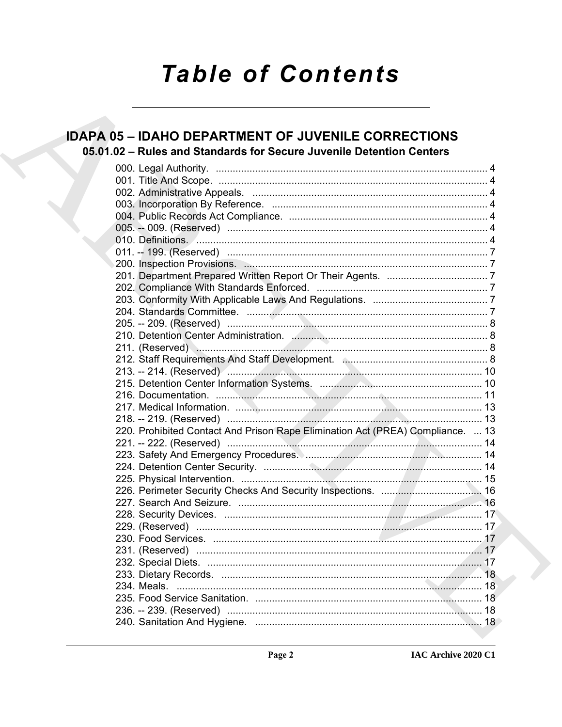# **Table of Contents**

### **IDAPA 05 - IDAHO DEPARTMENT OF JUVENILE CORRECTIONS** 05.01.02 - Rules and Standards for Secure Juvenile Detention Centers

|  | 010. Definitions. <u>And a communications</u> and a control of the control of the control of the control of the control of the control of the control of the control of the control of the control of the control of the control of |  |
|--|-------------------------------------------------------------------------------------------------------------------------------------------------------------------------------------------------------------------------------------|--|
|  |                                                                                                                                                                                                                                     |  |
|  |                                                                                                                                                                                                                                     |  |
|  |                                                                                                                                                                                                                                     |  |
|  |                                                                                                                                                                                                                                     |  |
|  |                                                                                                                                                                                                                                     |  |
|  |                                                                                                                                                                                                                                     |  |
|  |                                                                                                                                                                                                                                     |  |
|  |                                                                                                                                                                                                                                     |  |
|  |                                                                                                                                                                                                                                     |  |
|  |                                                                                                                                                                                                                                     |  |
|  |                                                                                                                                                                                                                                     |  |
|  |                                                                                                                                                                                                                                     |  |
|  |                                                                                                                                                                                                                                     |  |
|  |                                                                                                                                                                                                                                     |  |
|  |                                                                                                                                                                                                                                     |  |
|  | 220. Prohibited Contact And Prison Rape Elimination Act (PREA) Compliance.  13                                                                                                                                                      |  |
|  |                                                                                                                                                                                                                                     |  |
|  |                                                                                                                                                                                                                                     |  |
|  |                                                                                                                                                                                                                                     |  |
|  |                                                                                                                                                                                                                                     |  |
|  |                                                                                                                                                                                                                                     |  |
|  |                                                                                                                                                                                                                                     |  |
|  |                                                                                                                                                                                                                                     |  |
|  |                                                                                                                                                                                                                                     |  |
|  |                                                                                                                                                                                                                                     |  |
|  |                                                                                                                                                                                                                                     |  |
|  |                                                                                                                                                                                                                                     |  |
|  |                                                                                                                                                                                                                                     |  |
|  |                                                                                                                                                                                                                                     |  |
|  |                                                                                                                                                                                                                                     |  |
|  |                                                                                                                                                                                                                                     |  |
|  |                                                                                                                                                                                                                                     |  |
|  |                                                                                                                                                                                                                                     |  |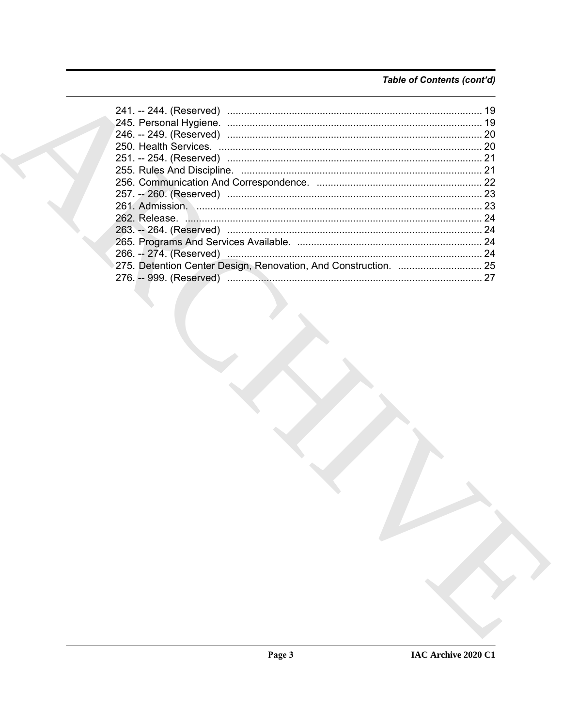### Table of Contents (cont'd)

|  | 19 |
|--|----|
|  |    |
|  |    |
|  |    |
|  |    |
|  | 21 |
|  |    |
|  |    |
|  |    |
|  |    |
|  | 24 |
|  |    |
|  | 24 |
|  |    |
|  |    |
|  |    |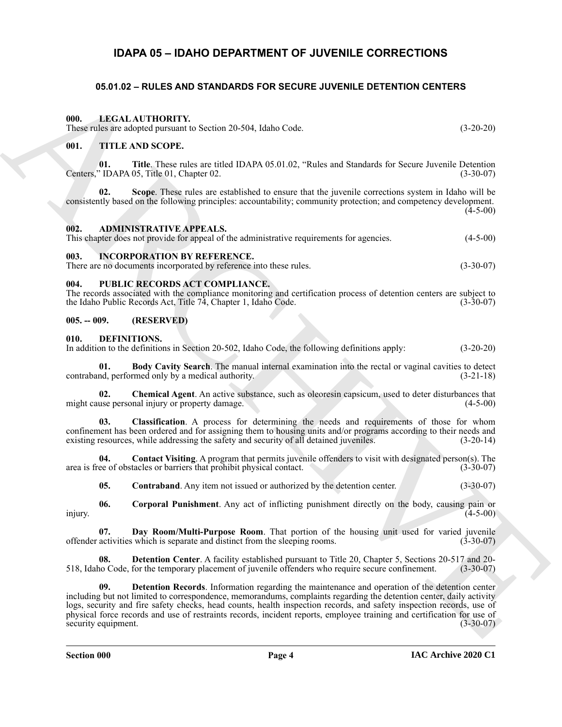### **IDAPA 05 – IDAHO DEPARTMENT OF JUVENILE CORRECTIONS**

#### <span id="page-3-23"></span><span id="page-3-21"></span><span id="page-3-3"></span><span id="page-3-2"></span><span id="page-3-1"></span><span id="page-3-0"></span>**05.01.02 – RULES AND STANDARDS FOR SECURE JUVENILE DETENTION CENTERS**

|                            | 05.01.02 - RULES AND STANDARDS FOR SECURE JUVENILE DETENTION CENTERS                                                                                                                                                                                                                                                                                                                                                                                                    |             |
|----------------------------|-------------------------------------------------------------------------------------------------------------------------------------------------------------------------------------------------------------------------------------------------------------------------------------------------------------------------------------------------------------------------------------------------------------------------------------------------------------------------|-------------|
| 000.                       | LEGAL AUTHORITY.<br>These rules are adopted pursuant to Section 20-504, Idaho Code.                                                                                                                                                                                                                                                                                                                                                                                     | $(3-20-20)$ |
| 001.                       | <b>TITLE AND SCOPE.</b>                                                                                                                                                                                                                                                                                                                                                                                                                                                 |             |
| 01.                        | Title. These rules are titled IDAPA 05.01.02, "Rules and Standards for Secure Juvenile Detention<br>Centers," IDAPA 05, Title 01, Chapter 02.                                                                                                                                                                                                                                                                                                                           | $(3-30-07)$ |
| 02.                        | Scope. These rules are established to ensure that the juvenile corrections system in Idaho will be<br>consistently based on the following principles: accountability; community protection; and competency development.                                                                                                                                                                                                                                                 | $(4-5-00)$  |
| 002.                       | <b>ADMINISTRATIVE APPEALS.</b><br>This chapter does not provide for appeal of the administrative requirements for agencies.                                                                                                                                                                                                                                                                                                                                             | $(4-5-00)$  |
| 003.                       | <b>INCORPORATION BY REFERENCE.</b><br>There are no documents incorporated by reference into these rules.                                                                                                                                                                                                                                                                                                                                                                | $(3-30-07)$ |
| 004.                       | PUBLIC RECORDS ACT COMPLIANCE.<br>The records associated with the compliance monitoring and certification process of detention centers are subject to<br>the Idaho Public Records Act, Title 74, Chapter 1, Idaho Code.                                                                                                                                                                                                                                                 | $(3-30-07)$ |
| $005. - 009.$              | (RESERVED)                                                                                                                                                                                                                                                                                                                                                                                                                                                              |             |
| 010.                       | DEFINITIONS.<br>In addition to the definitions in Section 20-502, Idaho Code, the following definitions apply:                                                                                                                                                                                                                                                                                                                                                          | $(3-20-20)$ |
| 01.                        | Body Cavity Search. The manual internal examination into the rectal or vaginal cavities to detect<br>contraband, performed only by a medical authority.                                                                                                                                                                                                                                                                                                                 | $(3-21-18)$ |
| 02.                        | Chemical Agent. An active substance, such as oleoresin capsicum, used to deter disturbances that<br>might cause personal injury or property damage.                                                                                                                                                                                                                                                                                                                     | $(4-5-00)$  |
| 03.                        | Classification. A process for determining the needs and requirements of those for whom<br>confinement has been ordered and for assigning them to housing units and/or programs according to their needs and<br>existing resources, while addressing the safety and security of all detained juveniles.                                                                                                                                                                  | $(3-20-14)$ |
| 04.                        | Contact Visiting. A program that permits juvenile offenders to visit with designated person(s). The<br>area is free of obstacles or barriers that prohibit physical contact.                                                                                                                                                                                                                                                                                            | $(3-30-07)$ |
| 05.                        | Contraband. Any item not issued or authorized by the detention center.                                                                                                                                                                                                                                                                                                                                                                                                  | $(3-30-07)$ |
| 06.<br>injury.             | <b>Corporal Punishment</b> . Any act of inflicting punishment directly on the body, causing pain or                                                                                                                                                                                                                                                                                                                                                                     | $(4-5-00)$  |
| 07.                        | Day Room/Multi-Purpose Room. That portion of the housing unit used for varied juvenile<br>offender activities which is separate and distinct from the sleeping rooms.                                                                                                                                                                                                                                                                                                   | $(3-30-07)$ |
| 08.                        | <b>Detention Center.</b> A facility established pursuant to Title 20, Chapter 5, Sections 20-517 and 20-<br>518, Idaho Code, for the temporary placement of juvenile offenders who require secure confinement.                                                                                                                                                                                                                                                          | $(3-30-07)$ |
| 09.<br>security equipment. | Detention Records. Information regarding the maintenance and operation of the detention center<br>including but not limited to correspondence, memorandums, complaints regarding the detention center, daily activity<br>logs, security and fire safety checks, head counts, health inspection records, and safety inspection records, use of<br>physical force records and use of restraints records, incident reports, employee training and certification for use of | $(3-30-07)$ |
|                            |                                                                                                                                                                                                                                                                                                                                                                                                                                                                         |             |

#### <span id="page-3-22"></span><span id="page-3-20"></span><span id="page-3-9"></span><span id="page-3-7"></span><span id="page-3-6"></span><span id="page-3-5"></span><span id="page-3-4"></span>**005. -- 009. (RESERVED)**

#### <span id="page-3-19"></span><span id="page-3-18"></span><span id="page-3-17"></span><span id="page-3-16"></span><span id="page-3-15"></span><span id="page-3-14"></span><span id="page-3-13"></span><span id="page-3-12"></span><span id="page-3-11"></span><span id="page-3-10"></span><span id="page-3-8"></span>**010. DEFINITIONS.**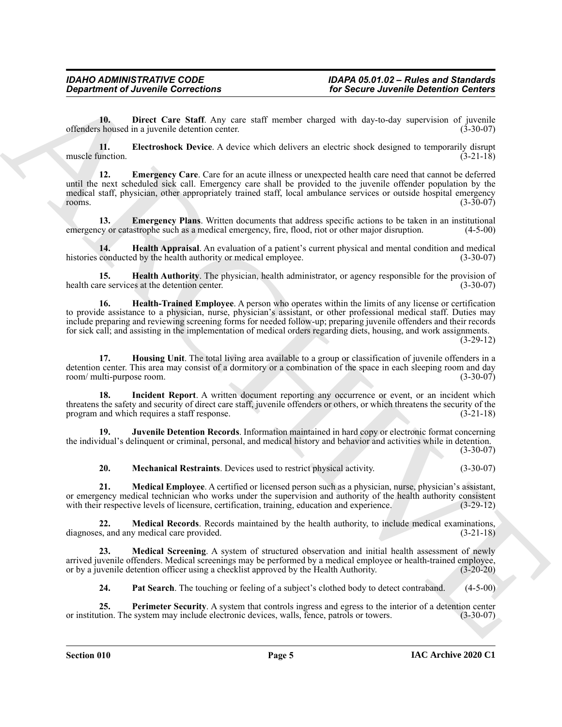<span id="page-4-0"></span>**10. Direct Care Staff**. Any care staff member charged with day-to-day supervision of juvenile offenders housed in a juvenile detention center. (3-30-07)

<span id="page-4-1"></span>**11. Electroshock Device**. A device which delivers an electric shock designed to temporarily disrupt muscle function. (3-21-18)

<span id="page-4-2"></span>**12. Emergency Care**. Care for an acute illness or unexpected health care need that cannot be deferred until the next scheduled sick call. Emergency care shall be provided to the juvenile offender population by the medical staff, physician, other appropriately trained staff, local ambulance services or outside hospital emergency<br>(3-30-07) rooms.  $(3-30-07)$ 

<span id="page-4-3"></span>**13. Emergency Plans**. Written documents that address specific actions to be taken in an institutional emergency or catastrophe such as a medical emergency, fire, flood, riot or other major disruption. (4-5-00)

<span id="page-4-4"></span>**14. Health Appraisal**. An evaluation of a patient's current physical and mental condition and medical conducted by the health authority or medical employee. (3-30-07) histories conducted by the health authority or medical employee.

<span id="page-4-6"></span><span id="page-4-5"></span>**15. Health Authority**. The physician, health administrator, or agency responsible for the provision of re services at the detention center. (3-30-07) health care services at the detention center.

*Given the Correlations*<br>
The Second Archives (Some Archives (Some Archives Correlation Comercial Solutions)<br>
Archives Correlation Correlation Comercial Comercial Solutions (Some Archives Correlation Comercial Comercial **16. Health-Trained Employee**. A person who operates within the limits of any license or certification to provide assistance to a physician, nurse, physician's assistant, or other professional medical staff. Duties may include preparing and reviewing screening forms for needed follow-up; preparing juvenile offenders and their records for sick call; and assisting in the implementation of medical orders regarding diets, housing, and work assignments.

 $(3-29-12)$ 

<span id="page-4-7"></span>**17. Housing Unit**. The total living area available to a group or classification of juvenile offenders in a detention center. This area may consist of a dormitory or a combination of the space in each sleeping room and day room/ multi-purpose room. (3-30-07)

<span id="page-4-8"></span>**18. Incident Report**. A written document reporting any occurrence or event, or an incident which threatens the safety and security of direct care staff, juvenile offenders or others, or which threatens the security of the program and which requires a staff response. (3-21-18)

**19. Juvenile Detention Records**. Information maintained in hard copy or electronic format concerning the individual's delinquent or criminal, personal, and medical history and behavior and activities while in detention.

 $(3-30-07)$ 

<span id="page-4-12"></span><span id="page-4-11"></span><span id="page-4-10"></span><span id="page-4-9"></span>**20. Mechanical Restraints**. Devices used to restrict physical activity. (3-30-07)

**21. Medical Employee**. A certified or licensed person such as a physician, nurse, physician's assistant, or emergency medical technician who works under the supervision and authority of the health authority consistent with their respective levels of licensure, certification, training, education and experience. (3-29-12) with their respective levels of licensure, certification, training, education and experience.

**22. Medical Records**. Records maintained by the health authority, to include medical examinations, diagnoses, and any medical care provided. (3-21-18)

**23. Medical Screening**. A system of structured observation and initial health assessment of newly arrived juvenile offenders. Medical screenings may be performed by a medical employee or health-trained employee, or by a juvenile detention officer using a checklist approved by the Health Authority. (3-20-20) or by a juvenile detention officer using a checklist approved by the Health Authority.

<span id="page-4-14"></span><span id="page-4-13"></span>**24.** Pat Search. The touching or feeling of a subject's clothed body to detect contraband. (4-5-00)

**25. Perimeter Security**. A system that controls ingress and egress to the interior of a detention center tion. The system may include electronic devices, walls, fence, patrols or towers. (3-30-07) or institution. The system may include electronic devices, walls, fence, patrols or towers.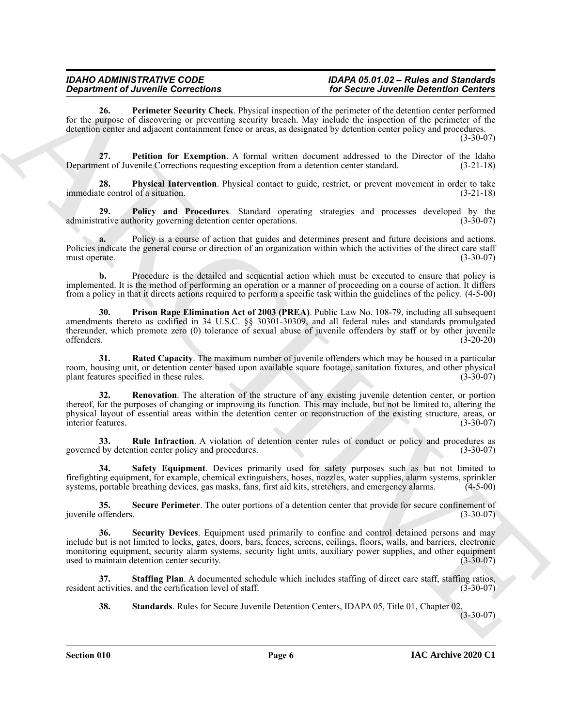## *IDAHO ADMINISTRATIVE CODE IDAPA 05.01.02 – Rules and Standards*

<span id="page-5-0"></span>**26. Perimeter Security Check**. Physical inspection of the perimeter of the detention center performed for the purpose of discovering or preventing security breach. May include the inspection of the perimeter of the detention center and adjacent containment fence or areas, as designated by detention center policy and procedures.

(3-30-07)

<span id="page-5-1"></span>**27. Petition for Exemption**. A formal written document addressed to the Director of the Idaho ent of Juvenile Corrections requesting exception from a detention center standard. (3-21-18) Department of Juvenile Corrections requesting exception from a detention center standard.

<span id="page-5-2"></span>**28. Physical Intervention**. Physical contact to guide, restrict, or prevent movement in order to take immediate control of a situation. (3-21-18)

<span id="page-5-3"></span>**29. Policy and Procedures**. Standard operating strategies and processes developed by the rative authority governing detention center operations. (3-30-07) administrative authority governing detention center operations.

**a.** Policy is a course of action that guides and determines present and future decisions and actions. Policies indicate the general course or direction of an organization within which the activities of the direct care staff must operate. (3-30-07) must operate.

**b.** Procedure is the detailed and sequential action which must be executed to ensure that policy is implemented. It is the method of performing an operation or a manner of proceeding on a course of action. It differs from a policy in that it directs actions required to perform a specific task within the guidelines of the policy. (4-5-00)

<span id="page-5-4"></span>**30. Prison Rape Elimination Act of 2003 (PREA)**. Public Law No. 108-79, including all subsequent amendments thereto as codified in 34 U.S.C. §§ 30301-30309, and all federal rules and standards promulgated thereunder, which promote zero (0) tolerance of sexual abuse of juvenile offenders by staff or by other juvenile offenders. (3-20-20)

<span id="page-5-5"></span>**31. Rated Capacity**. The maximum number of juvenile offenders which may be housed in a particular room, housing unit, or detention center based upon available square footage, sanitation fixtures, and other physical plant features specified in these rules. (3-30-07)

<span id="page-5-6"></span>**32. Renovation**. The alteration of the structure of any existing juvenile detention center, or portion thereof, for the purposes of changing or improving its function. This may include, but not be limited to, altering the physical layout of essential areas within the detention center or reconstruction of the existing structure, areas, or interior features. (3-30-07) interior features.

<span id="page-5-7"></span>**33. Rule Infraction**. A violation of detention center rules of conduct or policy and procedures as governed by detention center policy and procedures. (3-30-07)

<span id="page-5-8"></span>**34. Safety Equipment**. Devices primarily used for safety purposes such as but not limited to firefighting equipment, for example, chemical extinguishers, hoses, nozzles, water supplies, alarm systems, sprinkler systems, portable breathing devices, gas masks, fans, first aid kits, stretchers, and emergency alarms. (4-5-00)

<span id="page-5-10"></span><span id="page-5-9"></span>**35.** Secure Perimeter. The outer portions of a detention center that provide for secure confinement of offenders. (3-30-07) juvenile offenders.

**Expariment of Zurich Controllers** (as the section of the section of the section of the section of the section of the section of the section of the section of the section of the section of the section of the section of th **36. Security Devices**. Equipment used primarily to confine and control detained persons and may include but is not limited to locks, gates, doors, bars, fences, screens, ceilings, floors, walls, and barriers, electronic monitoring equipment, security alarm systems, security light units, auxiliary power supplies, and other equipment used to maintain detention center security. (3-30-07) used to maintain detention center security.

**37. Staffing Plan**. A documented schedule which includes staffing of direct care staff, staffing ratios, resident activities, and the certification level of staff. (3-30-07)

<span id="page-5-12"></span><span id="page-5-11"></span>**38. Standards**. Rules for Secure Juvenile Detention Centers, IDAPA 05, Title 01, Chapter 02.

 $(3-30-07)$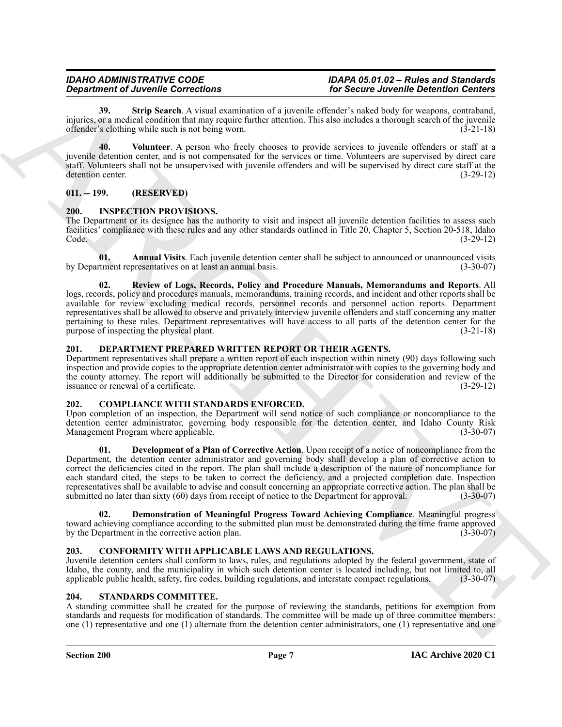## *IDAHO ADMINISTRATIVE CODE IDAPA 05.01.02 – Rules and Standards*

<span id="page-6-10"></span>**39. Strip Search**. A visual examination of a juvenile offender's naked body for weapons, contraband, injuries, or a medical condition that may require further attention. This also includes a thorough search of the juvenile offender's clothing while such is not being worn. offender's clothing while such is not being worn.

<span id="page-6-11"></span>**40. Volunteer**. A person who freely chooses to provide services to juvenile offenders or staff at a juvenile detention center, and is not compensated for the services or time. Volunteers are supervised by direct care staff. Volunteers shall not be unsupervised with juvenile offenders and will be supervised by direct care staff at the detention center. (3-29-12)

#### <span id="page-6-0"></span>**011. -- 199. (RESERVED)**

#### <span id="page-6-13"></span><span id="page-6-1"></span>**200. INSPECTION PROVISIONS.**

The Department or its designee has the authority to visit and inspect all juvenile detention facilities to assess such facilities' compliance with these rules and any other standards outlined in Title 20, Chapter 5, Section 20-518, Idaho Code. (3-29-12)

<span id="page-6-15"></span><span id="page-6-14"></span>**01. Annual Visits**. Each juvenile detention center shall be subject to announced or unannounced visits by Department representatives on at least an annual basis. (3-30-07)

**Department of Architecture**<br>
A structure and the structure of the structure of the structure of the structure of the structure of the structure of the structure of the structure of the structure of the structure of the s **02. Review of Logs, Records, Policy and Procedure Manuals, Memorandums and Reports**. All logs, records, policy and procedures manuals, memorandums, training records, and incident and other reports shall be available for review excluding medical records, personnel records and personnel action reports. Department representatives shall be allowed to observe and privately interview juvenile offenders and staff concerning any matter pertaining to these rules. Department representatives will have access to all parts of the detention center for the purpose of inspecting the physical plant. (3-21-18)

#### <span id="page-6-12"></span><span id="page-6-2"></span>**201. DEPARTMENT PREPARED WRITTEN REPORT OR THEIR AGENTS.**

Department representatives shall prepare a written report of each inspection within ninety (90) days following such inspection and provide copies to the appropriate detention center administrator with copies to the governing body and the county attorney. The report will additionally be submitted to the Director for consideration and review of the issuance or renewal of a certificate. (3-29-12) issuance or renewal of a certificate.

#### <span id="page-6-6"></span><span id="page-6-3"></span>**202. COMPLIANCE WITH STANDARDS ENFORCED.**

Upon completion of an inspection, the Department will send notice of such compliance or noncompliance to the detention center administrator, governing body responsible for the detention center, and Idaho County Risk Management Program where applicable. (3-30-07)

<span id="page-6-8"></span>**01. Development of a Plan of Corrective Action**. Upon receipt of a notice of noncompliance from the Department, the detention center administrator and governing body shall develop a plan of corrective action to correct the deficiencies cited in the report. The plan shall include a description of the nature of noncompliance for each standard cited, the steps to be taken to correct the deficiency, and a projected completion date. Inspection representatives shall be available to advise and consult concerning an appropriate corrective action. The plan shall be submitted no later than sixty (60) days from receipt of notice to the Department for approval. (3-30-07)

<span id="page-6-7"></span>**02. Demonstration of Meaningful Progress Toward Achieving Compliance**. Meaningful progress toward achieving compliance according to the submitted plan must be demonstrated during the time frame approved by the Department in the corrective action plan. (3-30-07)

#### <span id="page-6-9"></span><span id="page-6-4"></span>**203. CONFORMITY WITH APPLICABLE LAWS AND REGULATIONS.**

Juvenile detention centers shall conform to laws, rules, and regulations adopted by the federal government, state of Idaho, the county, and the municipality in which such detention center is located including, but not limited to, all applicable public health, safety, fire codes, building regulations, and interstate compact regulations. (3-30-07)

#### <span id="page-6-16"></span><span id="page-6-5"></span>**204. STANDARDS COMMITTEE.**

A standing committee shall be created for the purpose of reviewing the standards, petitions for exemption from standards and requests for modification of standards. The committee will be made up of three committee members: one (1) representative and one (1) alternate from the detention center administrators, one (1) representative and one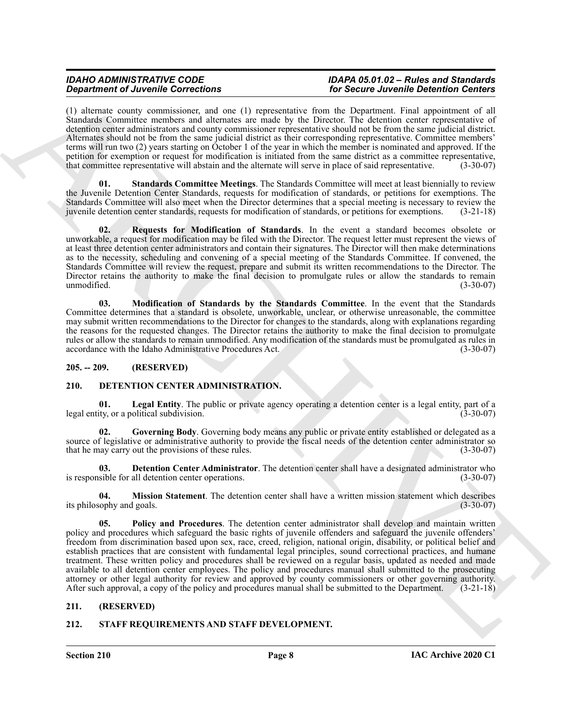## *IDAHO ADMINISTRATIVE CODE IDAPA 05.01.02 – Rules and Standards*

(1) alternate county commissioner, and one (1) representative from the Department. Final appointment of all Standards Committee members and alternates are made by the Director. The detention center representative of detention center administrators and county commissioner representative should not be from the same judicial district. Alternates should not be from the same judicial district as their corresponding representative. Committee members' terms will run two (2) years starting on October 1 of the year in which the member is nominated and approved. If the petition for exemption or request for modification is initiated from the same district as a committee representative,<br>that committee representative will abstain and the alternate will serve in place of said representative. that committee representative will abstain and the alternate will serve in place of said representative.

<span id="page-7-13"></span>**01. Standards Committee Meetings**. The Standards Committee will meet at least biennially to review the Juvenile Detention Center Standards, requests for modification of standards, or petitions for exemptions. The Standards Committee will also meet when the Director determines that a special meeting is necessary to review the juvenile detention center standards, requests for modification of standards, or petitions for exemptions. (3-21-18)

<span id="page-7-12"></span>**02. Requests for Modification of Standards**. In the event a standard becomes obsolete or unworkable, a request for modification may be filed with the Director. The request letter must represent the views of at least three detention center administrators and contain their signatures. The Director will then make determinations as to the necessity, scheduling and convening of a special meeting of the Standards Committee. If convened, the Standards Committee will review the request, prepare and submit its written recommendations to the Director. The Director retains the authority to make the final decision to promulgate rules or allow the standards to remain unmodified.  $(3-30-07)$ 

<span id="page-7-11"></span>**03. Modification of Standards by the Standards Committee**. In the event that the Standards Committee determines that a standard is obsolete, unworkable, unclear, or otherwise unreasonable, the committee may submit written recommendations to the Director for changes to the standards, along with explanations regarding the reasons for the requested changes. The Director retains the authority to make the final decision to promulgate rules or allow the standards to remain unmodified. Any modification of the standards must be promulgated as rules in accordance with the Idaho Administrative Procedures Act. (3-30-07)

#### <span id="page-7-0"></span>**205. -- 209. (RESERVED)**

#### <span id="page-7-4"></span><span id="page-7-1"></span>**210. DETENTION CENTER ADMINISTRATION.**

<span id="page-7-7"></span>**01. Legal Entity**. The public or private agency operating a detention center is a legal entity, part of a legal entity, or a political subdivision. (3-30-07)

<span id="page-7-6"></span>**02. Governing Body**. Governing body means any public or private entity established or delegated as a source of legislative or administrative authority to provide the fiscal needs of the detention center administrator so that he may carry out the provisions of these rules. (3-30-07)

<span id="page-7-5"></span>**03. Detention Center Administrator**. The detention center shall have a designated administrator who is responsible for all detention center operations. (3-30-07)

<span id="page-7-9"></span><span id="page-7-8"></span>**04.** Mission Statement. The detention center shall have a written mission statement which describes ophy and goals. (3-30-07) its philosophy and goals.

**Experiment of Architectural controllers** of the Section Architectural controllers in the section of the section of the section of the section of the section of the section of the section of the section of the section of **05. Policy and Procedures**. The detention center administrator shall develop and maintain written policy and procedures which safeguard the basic rights of juvenile offenders and safeguard the juvenile offenders' freedom from discrimination based upon sex, race, creed, religion, national origin, disability, or political belief and establish practices that are consistent with fundamental legal principles, sound correctional practices, and humane treatment. These written policy and procedures shall be reviewed on a regular basis, updated as needed and made available to all detention center employees. The policy and procedures manual shall submitted to the prosecuting attorney or other legal authority for review and approved by county commissioners or other governing authority. After such approval, a copy of the policy and procedures manual shall be submitted to the Department. (3-21-18)

#### <span id="page-7-2"></span>**211. (RESERVED)**

#### <span id="page-7-10"></span><span id="page-7-3"></span>**212. STAFF REQUIREMENTS AND STAFF DEVELOPMENT.**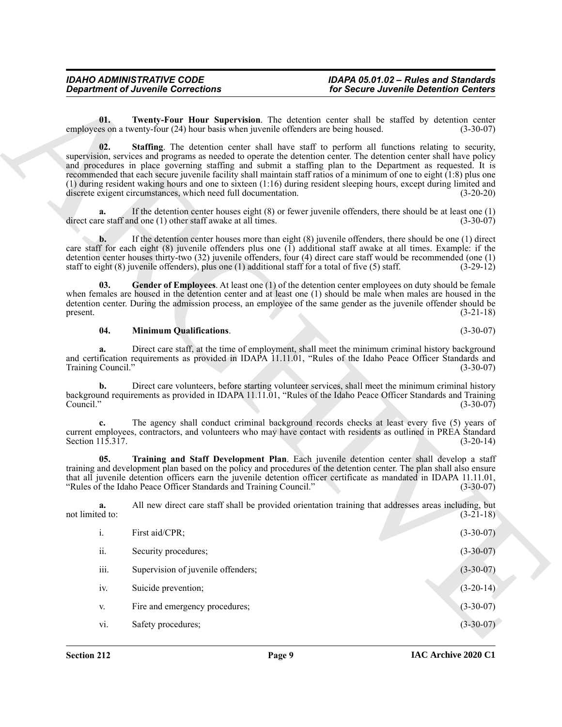### *Department of Juvenile Corrections for Secure Juvenile Detention Centers*

### <span id="page-8-4"></span><span id="page-8-2"></span>*IDAHO ADMINISTRATIVE CODE IDAPA 05.01.02 – Rules and Standards*

#### <span id="page-8-3"></span><span id="page-8-1"></span><span id="page-8-0"></span>**04. Minimum Qualifications**. (3-30-07)

|                          | <b>Department of Juvenile Corrections</b>                                                                  | for Secure Juvenile Detention Centers                                                                                                                                                                                                                                                                                                                                                                                                                                                                                                                                                          |             |
|--------------------------|------------------------------------------------------------------------------------------------------------|------------------------------------------------------------------------------------------------------------------------------------------------------------------------------------------------------------------------------------------------------------------------------------------------------------------------------------------------------------------------------------------------------------------------------------------------------------------------------------------------------------------------------------------------------------------------------------------------|-------------|
| 01.                      | employees on a twenty-four (24) hour basis when juvenile offenders are being housed.                       | Twenty-Four Hour Supervision. The detention center shall be staffed by detention center                                                                                                                                                                                                                                                                                                                                                                                                                                                                                                        | $(3-30-07)$ |
| 02.                      | discrete exigent circumstances, which need full documentation.                                             | <b>Staffing.</b> The detention center shall have staff to perform all functions relating to security,<br>supervision, services and programs as needed to operate the detention center. The detention center shall have policy<br>and procedures in place governing staffing and submit a staffing plan to the Department as requested. It is<br>recommended that each secure juvenile facility shall maintain staff ratios of a minimum of one to eight (1:8) plus one<br>(1) during resident waking hours and one to sixteen (1:16) during resident sleeping hours, except during limited and | $(3-20-20)$ |
| a.                       | direct care staff and one (1) other staff awake at all times.                                              | If the detention center houses eight $(8)$ or fewer juvenile offenders, there should be at least one $(1)$                                                                                                                                                                                                                                                                                                                                                                                                                                                                                     | $(3-30-07)$ |
| b.                       | staff to eight $(8)$ juvenile offenders), plus one $(1)$ additional staff for a total of five $(5)$ staff. | If the detention center houses more than eight $(8)$ juvenile offenders, there should be one $(1)$ direct<br>care staff for each eight $(8)$ juvenile offenders plus one $(1)$ additional staff awake at all times. Example: if the<br>detention center houses thirty-two (32) juvenile offenders, four (4) direct care staff would be recommended (one (1)                                                                                                                                                                                                                                    | $(3-29-12)$ |
| 03.<br>present.          |                                                                                                            | Gender of Employees. At least one (1) of the detention center employees on duty should be female<br>when females are housed in the detention center and at least one $(1)$ should be male when males are housed in the<br>detention center. During the admission process, an employee of the same gender as the juvenile offender should be                                                                                                                                                                                                                                                    | $(3-21-18)$ |
| 04.                      | <b>Minimum Qualifications.</b>                                                                             |                                                                                                                                                                                                                                                                                                                                                                                                                                                                                                                                                                                                | $(3-30-07)$ |
| a.<br>Training Council." |                                                                                                            | Direct care staff, at the time of employment, shall meet the minimum criminal history background<br>and certification requirements as provided in IDAPA 11.11.01, "Rules of the Idaho Peace Officer Standards and                                                                                                                                                                                                                                                                                                                                                                              | $(3-30-07)$ |
| b.<br>Council."          |                                                                                                            | Direct care volunteers, before starting volunteer services, shall meet the minimum criminal history<br>background requirements as provided in IDAPA 11.11.01, "Rules of the Idaho Peace Officer Standards and Training                                                                                                                                                                                                                                                                                                                                                                         | $(3-30-07)$ |
| c.<br>Section 115.317.   |                                                                                                            | The agency shall conduct criminal background records checks at least every five (5) years of<br>current employees, contractors, and volunteers who may have contact with residents as outlined in PREA Standard                                                                                                                                                                                                                                                                                                                                                                                | $(3-20-14)$ |
| 05.                      | "Rules of the Idaho Peace Officer Standards and Training Council."                                         | Training and Staff Development Plan. Each juvenile detention center shall develop a staff<br>training and development plan based on the policy and procedures of the detention center. The plan shall also ensure<br>that all juvenile detention officers earn the juvenile detention officer certificate as mandated in IDAPA 11.11.01,                                                                                                                                                                                                                                                       | $(3-30-07)$ |
| a.<br>not limited to:    |                                                                                                            | All new direct care staff shall be provided orientation training that addresses areas including, but                                                                                                                                                                                                                                                                                                                                                                                                                                                                                           | $(3-21-18)$ |
| i.                       | First aid/CPR;                                                                                             |                                                                                                                                                                                                                                                                                                                                                                                                                                                                                                                                                                                                | $(3-30-07)$ |
|                          | Security procedures;                                                                                       |                                                                                                                                                                                                                                                                                                                                                                                                                                                                                                                                                                                                | $(3-30-07)$ |
| ii.                      |                                                                                                            |                                                                                                                                                                                                                                                                                                                                                                                                                                                                                                                                                                                                | $(3-30-07)$ |
| iii.                     | Supervision of juvenile offenders;                                                                         |                                                                                                                                                                                                                                                                                                                                                                                                                                                                                                                                                                                                |             |
| iv.                      | Suicide prevention;                                                                                        |                                                                                                                                                                                                                                                                                                                                                                                                                                                                                                                                                                                                | $(3-20-14)$ |
| V.                       | Fire and emergency procedures;                                                                             |                                                                                                                                                                                                                                                                                                                                                                                                                                                                                                                                                                                                | $(3-30-07)$ |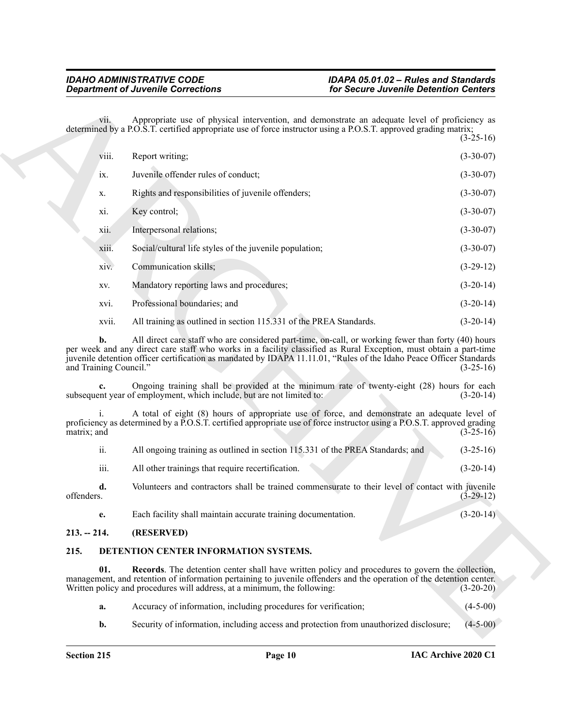| <b>Department of Juvenile Corrections</b> |                                                                                                                                                                                                                                                                                                                                                 | for Secure Juvenile Detention Centers |             |
|-------------------------------------------|-------------------------------------------------------------------------------------------------------------------------------------------------------------------------------------------------------------------------------------------------------------------------------------------------------------------------------------------------|---------------------------------------|-------------|
| V11.                                      | Appropriate use of physical intervention, and demonstrate an adequate level of proficiency as<br>determined by a P.O.S.T. certified appropriate use of force instructor using a P.O.S.T. approved grading matrix;                                                                                                                               |                                       | $(3-25-16)$ |
| VIII.                                     | Report writing;                                                                                                                                                                                                                                                                                                                                 |                                       | $(3-30-07)$ |
| ix.                                       | Juvenile offender rules of conduct;                                                                                                                                                                                                                                                                                                             |                                       | $(3-30-07)$ |
| Х.                                        | Rights and responsibilities of juvenile offenders;                                                                                                                                                                                                                                                                                              |                                       | $(3-30-07)$ |
| xi.                                       | Key control;                                                                                                                                                                                                                                                                                                                                    |                                       | $(3-30-07)$ |
| X11.                                      | Interpersonal relations;                                                                                                                                                                                                                                                                                                                        |                                       | $(3-30-07)$ |
| xiii.                                     | Social/cultural life styles of the juvenile population;                                                                                                                                                                                                                                                                                         |                                       | $(3-30-07)$ |
| xiv.                                      | Communication skills;                                                                                                                                                                                                                                                                                                                           |                                       | $(3-29-12)$ |
| XV.                                       | Mandatory reporting laws and procedures;                                                                                                                                                                                                                                                                                                        |                                       | $(3-20-14)$ |
| xvi.                                      | Professional boundaries; and                                                                                                                                                                                                                                                                                                                    |                                       | $(3-20-14)$ |
| xvii.                                     | All training as outlined in section 115.331 of the PREA Standards.                                                                                                                                                                                                                                                                              |                                       | $(3-20-14)$ |
| b.<br>and Training Council."              | All direct care staff who are considered part-time, on-call, or working fewer than forty (40) hours<br>per week and any direct care staff who works in a facility classified as Rural Exception, must obtain a part-time<br>juvenile detention officer certification as mandated by IDAPA 11.11.01, "Rules of the Idaho Peace Officer Standards |                                       | $(3-25-16)$ |
|                                           | Ongoing training shall be provided at the minimum rate of twenty-eight (28) hours for each<br>subsequent year of employment, which include, but are not limited to:                                                                                                                                                                             |                                       | $(3-20-14)$ |
| matrix; and                               | A total of eight (8) hours of appropriate use of force, and demonstrate an adequate level of<br>proficiency as determined by a P.O.S.T. certified appropriate use of force instructor using a P.O.S.T. approved grading                                                                                                                         |                                       | $(3-25-16)$ |
| ii.                                       | All ongoing training as outlined in section 115.331 of the PREA Standards; and                                                                                                                                                                                                                                                                  |                                       | $(3-25-16)$ |
| iii.                                      | All other trainings that require recertification.                                                                                                                                                                                                                                                                                               |                                       | $(3-20-14)$ |
| d.<br>offenders.                          | Volunteers and contractors shall be trained commensurate to their level of contact with juvenile                                                                                                                                                                                                                                                |                                       | $(3-29-12)$ |
| e.                                        | Each facility shall maintain accurate training documentation.                                                                                                                                                                                                                                                                                   |                                       | $(3-20-14)$ |
| $213. - 214.$                             | (RESERVED)                                                                                                                                                                                                                                                                                                                                      |                                       |             |
| 215.                                      | DETENTION CENTER INFORMATION SYSTEMS.                                                                                                                                                                                                                                                                                                           |                                       |             |
| 01.                                       | <b>Records.</b> The detention center shall have written policy and procedures to govern the collection,<br>management, and retention of information pertaining to juvenile offenders and the operation of the detention center.<br>Written policy and procedures will address, at a minimum, the following:                                     |                                       | $(3-20-20)$ |
| a.                                        | Accuracy of information, including procedures for verification;                                                                                                                                                                                                                                                                                 |                                       | $(4-5-00)$  |
|                                           |                                                                                                                                                                                                                                                                                                                                                 |                                       |             |

#### <span id="page-9-0"></span>**213. -- 214. (RESERVED)**

#### <span id="page-9-3"></span><span id="page-9-2"></span><span id="page-9-1"></span>**215. DETENTION CENTER INFORMATION SYSTEMS.**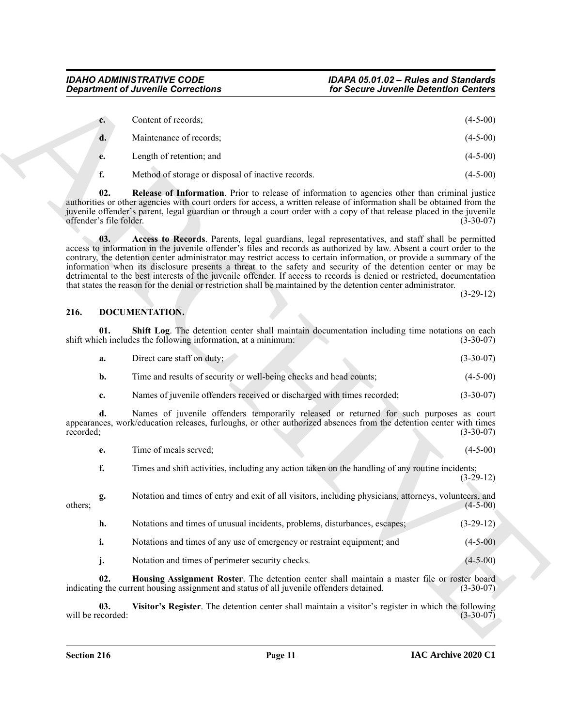| $c_{\cdot}$ | Content of records;      | $(4-5-00)$ |
|-------------|--------------------------|------------|
|             | Maintenance of records;  | $(4-5-00)$ |
| e.          | Length of retention; and | $(4-5-00)$ |

<span id="page-10-2"></span><span id="page-10-1"></span>**f.** Method of storage or disposal of inactive records. (4-5-00)

**02. Release of Information**. Prior to release of information to agencies other than criminal justice authorities or other agencies with court orders for access, a written release of information shall be obtained from the juvenile offender's parent, legal guardian or through a court order with a copy of that release placed in the juvenile offender's file folder.

**Considerable Connections**<br>
Considerable Connections<br>
Considerable Connections<br>
Considerable Connections<br>
Considerable Connections<br>
Considerable Connections<br>
Considerable Connections<br>
Considerable Connections<br>
Connections **03. Access to Records**. Parents, legal guardians, legal representatives, and staff shall be permitted access to information in the juvenile offender's files and records as authorized by law. Absent a court order to the contrary, the detention center administrator may restrict access to certain information, or provide a summary of the information when its disclosure presents a threat to the safety and security of the detention center or may be detrimental to the best interests of the juvenile offender. If access to records is denied or restricted, documentation that states the reason for the denial or restriction shall be maintained by the detention center administrator.

(3-29-12)

#### <span id="page-10-3"></span><span id="page-10-0"></span>**216. DOCUMENTATION.**

**01. Shift Log**. The detention center shall maintain documentation including time notations on each chincludes the following information, at a minimum: (3-30-07) shift which includes the following information, at a minimum:

<span id="page-10-5"></span>

| а. | Direct care staff on duty; | $(3-30-07)$ |
|----|----------------------------|-------------|
|    |                            |             |

- **b.** Time and results of security or well-being checks and head counts; (4-5-00)
- **c.** Names of juvenile offenders received or discharged with times recorded; (3-30-07)

**d.** Names of juvenile offenders temporarily released or returned for such purposes as court appearances, work/education releases, furloughs, or other authorized absences from the detention center with times recorded; (3-30-07)

| l'ime of meals served: |  | $(4-5-00)$ |
|------------------------|--|------------|
|                        |  |            |

**f.** Times and shift activities, including any action taken on the handling of any routine incidents; (3-29-12)

**g.** Notation and times of entry and exit of all visitors, including physicians, attorneys, volunteers, and (4-5-00)  $\omega$  (4-5-00) (4-5-00) **h.** Notations and times of unusual incidents, problems, disturbances, escapes; (3-29-12)

- **i.** Notations and times of any use of emergency or restraint equipment; and  $(4-5-00)$
- <span id="page-10-6"></span><span id="page-10-4"></span>**j.** Notation and times of perimeter security checks. (4-5-00)

**02. Housing Assignment Roster**. The detention center shall maintain a master file or roster board indicating the current housing assignment and status of all juvenile offenders detained. (3-30-07)

**03.** Visitor's Register. The detention center shall maintain a visitor's register in which the following ecorded: (3-30-07) will be recorded: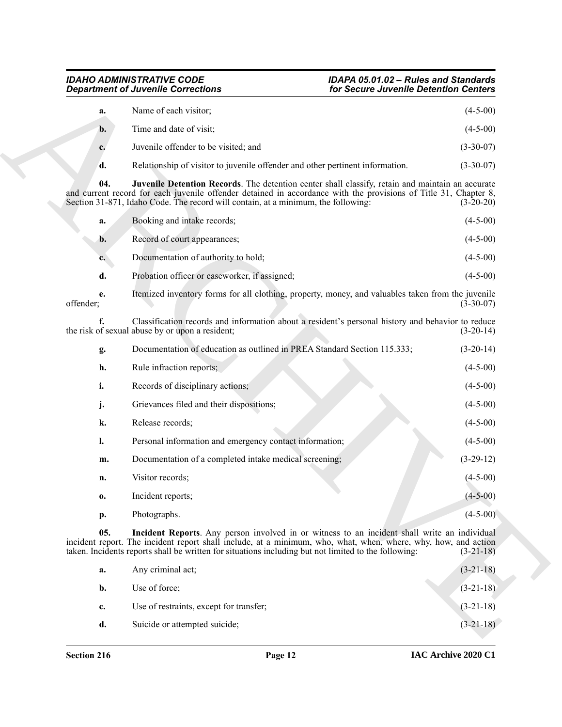|  | а.        | Name of each visitor;                                                         | $(4-5-00)$  |
|--|-----------|-------------------------------------------------------------------------------|-------------|
|  | <b>b.</b> | Time and date of visit;                                                       | $(4-5-00)$  |
|  |           | Juvenile offender to be visited; and                                          | $(3-30-07)$ |
|  | d.        | Relationship of visitor to juvenile offender and other pertinent information. | $(3-30-07)$ |

<span id="page-11-1"></span>

|           | a. | Booking and intake records;                                                                                                                          | $(4-5-00)$  |
|-----------|----|------------------------------------------------------------------------------------------------------------------------------------------------------|-------------|
|           | b. | Record of court appearances;                                                                                                                         | $(4-5-00)$  |
|           | c. | Documentation of authority to hold;                                                                                                                  | $(4-5-00)$  |
|           | d. | Probation officer or caseworker, if assigned;                                                                                                        | $(4-5-00)$  |
| offender; | e. | Itemized inventory forms for all clothing, property, money, and valuables taken from the juvenile                                                    | $(3-30-07)$ |
|           |    | Classification records and information about a resident's personal history and behavior to reduce<br>the risk of sexual abuse by or upon a resident; | $(3-20-14)$ |

|                 | <b>Department of Juvenile Corrections</b>                                                                                                                                                                                                                                                                              | for Secure Juvenile Detention Centers |
|-----------------|------------------------------------------------------------------------------------------------------------------------------------------------------------------------------------------------------------------------------------------------------------------------------------------------------------------------|---------------------------------------|
| a.              | Name of each visitor;                                                                                                                                                                                                                                                                                                  | $(4-5-00)$                            |
| $\mathbf{b}$ .  | Time and date of visit;                                                                                                                                                                                                                                                                                                | $(4-5-00)$                            |
| c.              | Juvenile offender to be visited; and                                                                                                                                                                                                                                                                                   | $(3-30-07)$                           |
| d.              | Relationship of visitor to juvenile offender and other pertinent information.                                                                                                                                                                                                                                          | $(3-30-07)$                           |
| 04.             | Juvenile Detention Records. The detention center shall classify, retain and maintain an accurate<br>and current record for each juvenile offender detained in accordance with the provisions of Title 31, Chapter 8,<br>Section 31-871, Idaho Code. The record will contain, at a minimum, the following:              | $(3-20-20)$                           |
| a.              | Booking and intake records;                                                                                                                                                                                                                                                                                            | $(4-5-00)$                            |
| b.              | Record of court appearances;                                                                                                                                                                                                                                                                                           | $(4-5-00)$                            |
| $c_{\cdot}$     | Documentation of authority to hold;                                                                                                                                                                                                                                                                                    | $(4-5-00)$                            |
| d.              | Probation officer or caseworker, if assigned;                                                                                                                                                                                                                                                                          | $(4-5-00)$                            |
| e.<br>offender; | Itemized inventory forms for all clothing, property, money, and valuables taken from the juvenile                                                                                                                                                                                                                      | $(3-30-07)$                           |
|                 | Classification records and information about a resident's personal history and behavior to reduce<br>the risk of sexual abuse by or upon a resident;                                                                                                                                                                   | $(3-20-14)$                           |
| g.              | Documentation of education as outlined in PREA Standard Section 115.333;                                                                                                                                                                                                                                               | $(3-20-14)$                           |
| h.              | Rule infraction reports;                                                                                                                                                                                                                                                                                               | $(4-5-00)$                            |
| i.              | Records of disciplinary actions;                                                                                                                                                                                                                                                                                       | $(4-5-00)$                            |
| j.              | Grievances filed and their dispositions;                                                                                                                                                                                                                                                                               | $(4-5-00)$                            |
| k.              | Release records;                                                                                                                                                                                                                                                                                                       | $(4-5-00)$                            |
| l.              | Personal information and emergency contact information;                                                                                                                                                                                                                                                                | $(4-5-00)$                            |
| m.              | Documentation of a completed intake medical screening;                                                                                                                                                                                                                                                                 | $(3-29-12)$                           |
| n.              | Visitor records;                                                                                                                                                                                                                                                                                                       | $(4 - 5 - 00)$                        |
| 0.              | Incident reports;                                                                                                                                                                                                                                                                                                      | $(4-5-00)$                            |
| p.              | Photographs.                                                                                                                                                                                                                                                                                                           | $(4-5-00)$                            |
| 05.             | Incident Reports. Any person involved in or witness to an incident shall write an individual<br>incident report. The incident report shall include, at a minimum, who, what, when, where, why, how, and action<br>taken. Incidents reports shall be written for situations including but not limited to the following: | $(3-21-18)$                           |
| a.              | Any criminal act;                                                                                                                                                                                                                                                                                                      | $(3-21-18)$                           |
| b.              | Use of force;                                                                                                                                                                                                                                                                                                          | $(3-21-18)$                           |
| c.              | Use of restraints, except for transfer;                                                                                                                                                                                                                                                                                | $(3-21-18)$                           |
|                 |                                                                                                                                                                                                                                                                                                                        |                                       |

<span id="page-11-0"></span>

| a.             | Any criminal act;                       | $(3-21-18)$ |
|----------------|-----------------------------------------|-------------|
| b.             | Use of force;                           | $(3-21-18)$ |
| $\mathbf{c}$ . | Use of restraints, except for transfer; | $(3-21-18)$ |
| d.             | Suicide or attempted suicide;           | $(3-21-18)$ |
|                |                                         |             |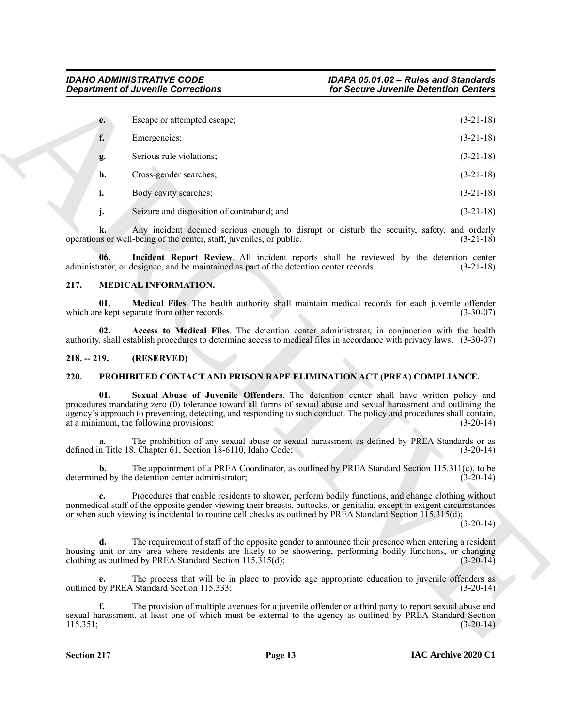|               | <b>Department of Juvenile Corrections</b>                                                                                                                                                                                                                                                                                                                                            | for Secure Juvenile Detention Centers                                                                 |             |
|---------------|--------------------------------------------------------------------------------------------------------------------------------------------------------------------------------------------------------------------------------------------------------------------------------------------------------------------------------------------------------------------------------------|-------------------------------------------------------------------------------------------------------|-------------|
| e.            | Escape or attempted escape;                                                                                                                                                                                                                                                                                                                                                          |                                                                                                       | $(3-21-18)$ |
| f.            | Emergencies;                                                                                                                                                                                                                                                                                                                                                                         |                                                                                                       | $(3-21-18)$ |
| g.            | Serious rule violations;                                                                                                                                                                                                                                                                                                                                                             |                                                                                                       | $(3-21-18)$ |
| h.            | Cross-gender searches;                                                                                                                                                                                                                                                                                                                                                               |                                                                                                       | $(3-21-18)$ |
| i.            | Body cavity searches;                                                                                                                                                                                                                                                                                                                                                                |                                                                                                       | $(3-21-18)$ |
| j.            | Seizure and disposition of contraband; and                                                                                                                                                                                                                                                                                                                                           |                                                                                                       | $(3-21-18)$ |
| k.            | Any incident deemed serious enough to disrupt or disturb the security, safety, and orderly<br>operations or well-being of the center, staff, juveniles, or public.                                                                                                                                                                                                                   |                                                                                                       | $(3-21-18)$ |
|               | Incident Report Review. All incident reports shall be reviewed by the detention center<br>06.<br>administrator, or designee, and be maintained as part of the detention center records.                                                                                                                                                                                              |                                                                                                       | $(3-21-18)$ |
| 217.          | MEDICAL INFORMATION.                                                                                                                                                                                                                                                                                                                                                                 |                                                                                                       |             |
|               | Medical Files. The health authority shall maintain medical records for each juvenile offender<br>01.<br>which are kept separate from other records.                                                                                                                                                                                                                                  |                                                                                                       | $(3-30-07)$ |
|               | Access to Medical Files. The detention center administrator, in conjunction with the health<br>02.<br>authority, shall establish procedures to determine access to medical files in accordance with privacy laws. (3-30-07)                                                                                                                                                          |                                                                                                       |             |
| $218. - 219.$ | (RESERVED)                                                                                                                                                                                                                                                                                                                                                                           |                                                                                                       |             |
| 220.          | PROHIBITED CONTACT AND PRISON RAPE ELIMINATION ACT (PREA) COMPLIANCE.                                                                                                                                                                                                                                                                                                                |                                                                                                       |             |
|               | 01.<br>Sexual Abuse of Juvenile Offenders. The detention center shall have written policy and<br>procedures mandating zero (0) tolerance toward all forms of sexual abuse and sexual harassment and outlining the<br>agency's approach to preventing, detecting, and responding to such conduct. The policy and procedures shall contain,<br>at a minimum, the following provisions: |                                                                                                       | $(3-20-14)$ |
| a.            | The prohibition of any sexual abuse or sexual harassment as defined by PREA Standards or as<br>defined in Title 18, Chapter 61, Section 18-6110, Idaho Code;                                                                                                                                                                                                                         |                                                                                                       | $(3-20-14)$ |
| b.            | The appointment of a PREA Coordinator, as outlined by PREA Standard Section 115.311(c), to be<br>determined by the detention center administrator;                                                                                                                                                                                                                                   |                                                                                                       | $(3-20-14)$ |
|               | Procedures that enable residents to shower, perform bodily functions, and change clothing without<br>nonmedical staff of the opposite gender viewing their breasts, buttocks, or genitalia, except in exigent circumstances<br>or when such viewing is incidental to routine cell checks as outlined by PREA Standard Section 115.315(d);                                            |                                                                                                       | $(3-20-14)$ |
| d.            | The requirement of staff of the opposite gender to announce their presence when entering a resident<br>housing unit or any area where residents are likely to be showering, performing bodily functions, or changing<br>clothing as outlined by PREA Standard Section $115.315(d)$ ;                                                                                                 |                                                                                                       | $(3-20-14)$ |
| e.            | The process that will be in place to provide age appropriate education to juvenile offenders as<br>outlined by PREA Standard Section 115.333;                                                                                                                                                                                                                                        |                                                                                                       | $(3-20-14)$ |
| f.            |                                                                                                                                                                                                                                                                                                                                                                                      | The provision of multiple avenues for a juvenile offender or a third party to report sexual abuse and |             |

#### <span id="page-12-6"></span><span id="page-12-4"></span><span id="page-12-3"></span><span id="page-12-0"></span>**217. MEDICAL INFORMATION.**

#### <span id="page-12-5"></span><span id="page-12-1"></span>**218. -- 219. (RESERVED)**

#### <span id="page-12-8"></span><span id="page-12-7"></span><span id="page-12-2"></span>**220. PROHIBITED CONTACT AND PRISON RAPE ELIMINATION ACT (PREA) COMPLIANCE.**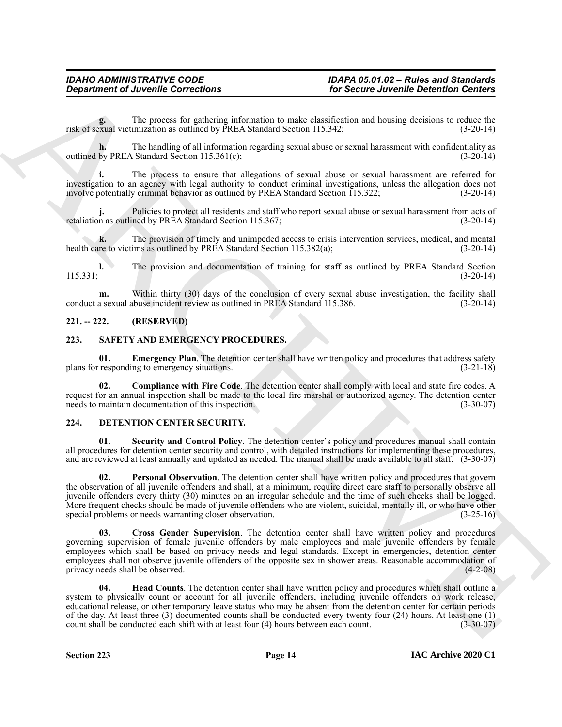**g.** The process for gathering information to make classification and housing decisions to reduce the risk of sexual victimization as outlined by PREA Standard Section 115.342; (3-20-14)

**h.** The handling of all information regarding sexual abuse or sexual harassment with confidentiality as outlined by PREA Standard Section 115.361(c); (3-20-14)

**i.** The process to ensure that allegations of sexual abuse or sexual harassment are referred for investigation to an agency with legal authority to conduct criminal investigations, unless the allegation does not involve potentially criminal behavior as outlined by PREA Standard Section 115.322; (3-20-14)

Policies to protect all residents and staff who report sexual abuse or sexual harassment from acts of ned by PREA Standard Section 115.367;<br>(3-20-14) retaliation as outlined by PREA Standard Section 115.367;

**k.** The provision of timely and unimpeded access to crisis intervention services, medical, and mental health care to victims as outlined by PREA Standard Section 115.382(a); (3-20-14)

**l.** The provision and documentation of training for staff as outlined by PREA Standard Section  $(3-20-14)$ 

**m.** Within thirty (30) days of the conclusion of every sexual abuse investigation, the facility shall a sexual abuse incident review as outlined in PREA Standard 115.386. (3-20-14) conduct a sexual abuse incident review as outlined in PREA Standard 115.386.

#### <span id="page-13-0"></span>**221. -- 222. (RESERVED)**

#### <span id="page-13-8"></span><span id="page-13-1"></span>**223. SAFETY AND EMERGENCY PROCEDURES.**

<span id="page-13-10"></span>**01. Emergency Plan**. The detention center shall have written policy and procedures that address safety responding to emergency situations. (3-21-18) plans for responding to emergency situations.

<span id="page-13-9"></span>**02. Compliance with Fire Code**. The detention center shall comply with local and state fire codes. A request for an annual inspection shall be made to the local fire marshal or authorized agency. The detention center needs to maintain documentation of this inspection. (3-30-07)

#### <span id="page-13-3"></span><span id="page-13-2"></span>**224. DETENTION CENTER SECURITY.**

<span id="page-13-7"></span><span id="page-13-6"></span>**Security and Control Policy**. The detention center's policy and procedures manual shall contain all procedures for detention center security and control, with detailed instructions for implementing these procedures, and are reviewed at least annually and updated as needed. The manual shall be made available to all staff. (3-30-07)

*Given the Correlation Scheme Correlations*<br>
For Secure Adversion Correlation Scheme Adversion Correlation Scheme Adversion Correlation Scheme Adversion Correlation Scheme Adversion Correlation Scheme Adversion Correlat **02. Personal Observation**. The detention center shall have written policy and procedures that govern the observation of all juvenile offenders and shall, at a minimum, require direct care staff to personally observe all juvenile offenders every thirty (30) minutes on an irregular schedule and the time of such checks shall be logged. More frequent checks should be made of juvenile offenders who are violent, suicidal, mentally ill, or who have other special problems or needs warranting closer observation. (3-25-16) (3-25-16)

<span id="page-13-4"></span>**03. Cross Gender Supervision**. The detention center shall have written policy and procedures governing supervision of female juvenile offenders by male employees and male juvenile offenders by female employees which shall be based on privacy needs and legal standards. Except in emergencies, detention center employees shall not observe juvenile offenders of the opposite sex in shower areas. Reasonable accommodation of privacy needs shall be observed. (4-2-08)

<span id="page-13-5"></span>**04. Head Counts**. The detention center shall have written policy and procedures which shall outline a system to physically count or account for all juvenile offenders, including juvenile offenders on work release, educational release, or other temporary leave status who may be absent from the detention center for certain periods of the day. At least three (3) documented counts shall be conducted every twenty-four (24) hours. At least one (1) count shall be conducted each shift with at least four (4) hours between each count. (3-30-07)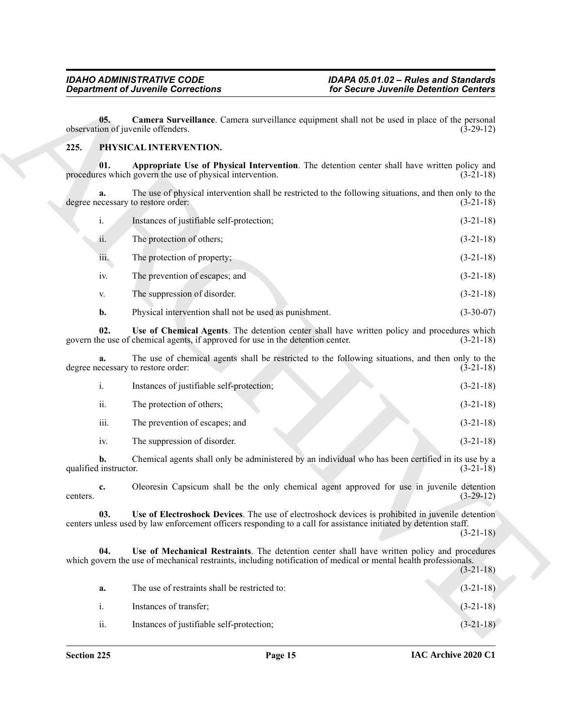#### <span id="page-14-3"></span><span id="page-14-2"></span><span id="page-14-1"></span><span id="page-14-0"></span>**225. PHYSICAL INTERVENTION.**

|                             | <b>Department of Juvenile Corrections</b>                                       | for Secure Juvenile Detention Centers                                                                                                                                                                                 |             |
|-----------------------------|---------------------------------------------------------------------------------|-----------------------------------------------------------------------------------------------------------------------------------------------------------------------------------------------------------------------|-------------|
| 05.                         | observation of juvenile offenders.                                              | Camera Surveillance. Camera surveillance equipment shall not be used in place of the personal                                                                                                                         | $(3-29-12)$ |
| 225.                        | PHYSICAL INTERVENTION.                                                          |                                                                                                                                                                                                                       |             |
| 01.                         | procedures which govern the use of physical intervention.                       | Appropriate Use of Physical Intervention. The detention center shall have written policy and                                                                                                                          | $(3-21-18)$ |
| a.                          | degree necessary to restore order:                                              | The use of physical intervention shall be restricted to the following situations, and then only to the                                                                                                                | $(3-21-18)$ |
| i.                          | Instances of justifiable self-protection;                                       |                                                                                                                                                                                                                       | $(3-21-18)$ |
| ii.                         | The protection of others;                                                       |                                                                                                                                                                                                                       | $(3-21-18)$ |
| iii.                        | The protection of property;                                                     |                                                                                                                                                                                                                       | $(3-21-18)$ |
| iv.                         | The prevention of escapes; and                                                  |                                                                                                                                                                                                                       | $(3-21-18)$ |
| V.                          | The suppression of disorder.                                                    |                                                                                                                                                                                                                       | $(3-21-18)$ |
| b.                          | Physical intervention shall not be used as punishment.                          |                                                                                                                                                                                                                       | $(3-30-07)$ |
| 02.                         | govern the use of chemical agents, if approved for use in the detention center. | Use of Chemical Agents. The detention center shall have written policy and procedures which                                                                                                                           | $(3-21-18)$ |
| a.                          | degree necessary to restore order:                                              | The use of chemical agents shall be restricted to the following situations, and then only to the                                                                                                                      | $(3-21-18)$ |
| i.                          | Instances of justifiable self-protection;                                       |                                                                                                                                                                                                                       | $(3-21-18)$ |
| ii.                         | The protection of others;                                                       |                                                                                                                                                                                                                       | $(3-21-18)$ |
| iii.                        | The prevention of escapes; and                                                  |                                                                                                                                                                                                                       | $(3-21-18)$ |
| iv.                         | The suppression of disorder.                                                    |                                                                                                                                                                                                                       | $(3-21-18)$ |
| b.<br>qualified instructor. |                                                                                 | Chemical agents shall only be administered by an individual who has been certified in its use by a                                                                                                                    | $(3-21-18)$ |
| c.<br>centers.              |                                                                                 | Oleoresin Capsicum shall be the only chemical agent approved for use in juvenile detention                                                                                                                            | $(3-29-12)$ |
| 03.                         |                                                                                 | Use of Electroshock Devices. The use of electroshock devices is prohibited in juvenile detention<br>centers unless used by law enforcement officers responding to a call for assistance initiated by detention staff. | $(3-21-18)$ |
| 04.                         |                                                                                 | Use of Mechanical Restraints. The detention center shall have written policy and procedures<br>which govern the use of mechanical restraints, including notification of medical or mental health professionals.       | $(3-21-18)$ |
| a.                          | The use of restraints shall be restricted to:                                   |                                                                                                                                                                                                                       | $(3-21-18)$ |
|                             | Instances of transfer;                                                          |                                                                                                                                                                                                                       | $(3-21-18)$ |
| i.                          |                                                                                 |                                                                                                                                                                                                                       |             |

<span id="page-14-4"></span>

|      | Instances of justifiable self-protection; | $(3-21-18)$ |
|------|-------------------------------------------|-------------|
| ii.  | The protection of others;                 | $(3-21-18)$ |
| iii. | The prevention of escapes; and            | $(3-21-18)$ |
| 1V.  | The suppression of disorder.              | $(3-21-18)$ |

<span id="page-14-6"></span><span id="page-14-5"></span>

| а.  | The use of restraints shall be restricted to: | $(3-21-18)$ |
|-----|-----------------------------------------------|-------------|
| 1.  | Instances of transfer;                        | $(3-21-18)$ |
| ii. | Instances of justifiable self-protection;     | $(3-21-18)$ |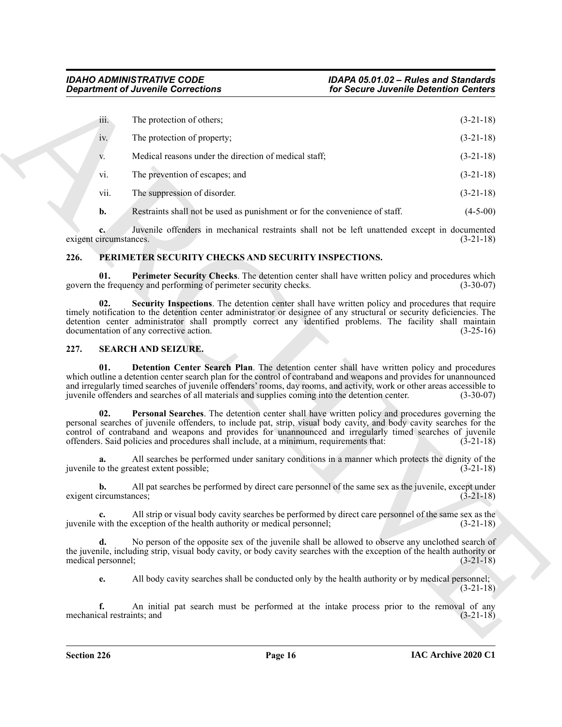| <b>Department of Juvenile Corrections</b>       |                                                                                                                                                                                                                                                                                                                                                                                                                                                  | for Secure Juvenile Detention Centers |             |
|-------------------------------------------------|--------------------------------------------------------------------------------------------------------------------------------------------------------------------------------------------------------------------------------------------------------------------------------------------------------------------------------------------------------------------------------------------------------------------------------------------------|---------------------------------------|-------------|
| iii.                                            | The protection of others;                                                                                                                                                                                                                                                                                                                                                                                                                        |                                       | $(3-21-18)$ |
| iv.                                             | The protection of property;                                                                                                                                                                                                                                                                                                                                                                                                                      |                                       | $(3-21-18)$ |
| V.                                              | Medical reasons under the direction of medical staff;                                                                                                                                                                                                                                                                                                                                                                                            |                                       | $(3-21-18)$ |
| vi.                                             | The prevention of escapes; and                                                                                                                                                                                                                                                                                                                                                                                                                   |                                       | $(3-21-18)$ |
| vii.                                            | The suppression of disorder.                                                                                                                                                                                                                                                                                                                                                                                                                     |                                       | $(3-21-18)$ |
| $\mathbf{b}$ .                                  | Restraints shall not be used as punishment or for the convenience of staff.                                                                                                                                                                                                                                                                                                                                                                      |                                       | $(4-5-00)$  |
| c.<br>exigent circumstances.                    | Juvenile offenders in mechanical restraints shall not be left unattended except in documented                                                                                                                                                                                                                                                                                                                                                    |                                       | $(3-21-18)$ |
| 226.                                            | PERIMETER SECURITY CHECKS AND SECURITY INSPECTIONS.                                                                                                                                                                                                                                                                                                                                                                                              |                                       |             |
| 01.                                             | Perimeter Security Checks. The detention center shall have written policy and procedures which<br>govern the frequency and performing of perimeter security checks.                                                                                                                                                                                                                                                                              |                                       | $(3-30-07)$ |
| 02.<br>documentation of any corrective action.  | Security Inspections. The detention center shall have written policy and procedures that require<br>timely notification to the detention center administrator or designee of any structural or security deficiencies. The<br>detention center administrator shall promptly correct any identified problems. The facility shall maintain                                                                                                          |                                       | $(3-25-16)$ |
| 227.<br><b>SEARCH AND SEIZURE.</b>              |                                                                                                                                                                                                                                                                                                                                                                                                                                                  |                                       |             |
| 01.                                             | Detention Center Search Plan. The detention center shall have written policy and procedures<br>which outline a detention center search plan for the control of contraband and weapons and provides for unannounced<br>and irregularly timed searches of juvenile offenders' rooms, day rooms, and activity, work or other areas accessible to<br>juvenile offenders and searches of all materials and supplies coming into the detention center. |                                       | $(3-30-07)$ |
| 02.                                             | Personal Searches. The detention center shall have written policy and procedures governing the<br>personal searches of juvenile offenders, to include pat, strip, visual body cavity, and body cavity searches for the<br>control of contraband and weapons and provides for unannounced and irregularly timed searches of juvenile<br>offenders. Said policies and procedures shall include, at a minimum, requirements that:                   |                                       | $(3-21-18)$ |
| a.<br>juvenile to the greatest extent possible; | All searches be performed under sanitary conditions in a manner which protects the dignity of the                                                                                                                                                                                                                                                                                                                                                |                                       | $(3-21-18)$ |
| b.<br>exigent circumstances;                    | All pat searches be performed by direct care personnel of the same sex as the juvenile, except under                                                                                                                                                                                                                                                                                                                                             |                                       | $(3-21-18)$ |
| $c_{\cdot}$                                     | All strip or visual body cavity searches be performed by direct care personnel of the same sex as the<br>juvenile with the exception of the health authority or medical personnel;                                                                                                                                                                                                                                                               |                                       | $(3-21-18)$ |
| d.<br>medical personnel;                        | No person of the opposite sex of the juvenile shall be allowed to observe any unclothed search of<br>the juvenile, including strip, visual body cavity, or body cavity searches with the exception of the health authority or                                                                                                                                                                                                                    |                                       | $(3-21-18)$ |
| e.                                              | All body cavity searches shall be conducted only by the health authority or by medical personnel;                                                                                                                                                                                                                                                                                                                                                |                                       | $(3-21-18)$ |
| f.<br>mechanical restraints; and                | An initial pat search must be performed at the intake process prior to the removal of any                                                                                                                                                                                                                                                                                                                                                        |                                       | $(3-21-18)$ |
|                                                 |                                                                                                                                                                                                                                                                                                                                                                                                                                                  |                                       |             |

#### <span id="page-15-4"></span><span id="page-15-3"></span><span id="page-15-2"></span><span id="page-15-0"></span>**226. PERIMETER SECURITY CHECKS AND SECURITY INSPECTIONS.**

#### <span id="page-15-7"></span><span id="page-15-6"></span><span id="page-15-5"></span><span id="page-15-1"></span>**227. SEARCH AND SEIZURE.**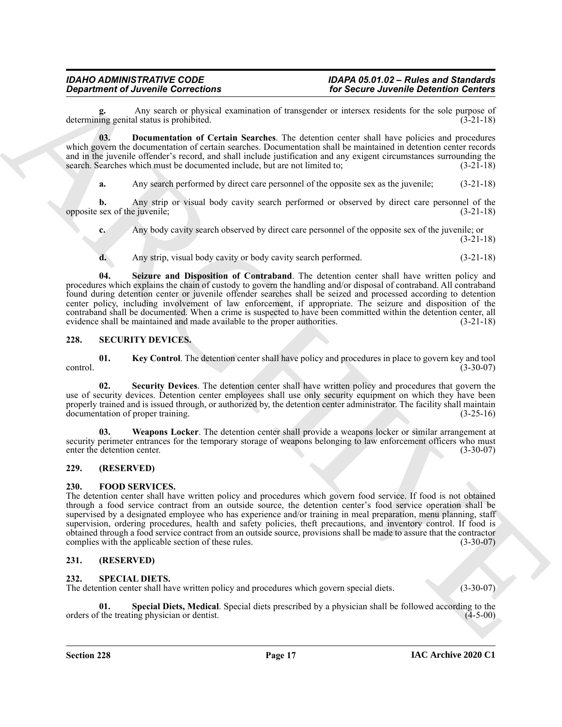Any search or physical examination of transgender or intersex residents for the sole purpose of d status is prohibited. (3-21-18) determining genital status is prohibited.

**03. Documentation of Certain Searches**. The detention center shall have policies and procedures which govern the documentation of certain searches. Documentation shall be maintained in detention center records and in the juvenile offender's record, and shall include justification and any exigent circumstances surrounding the search. Searches which must be documented include, but are not limited to; (3-21-18) search. Searches which must be documented include, but are not limited to;

<span id="page-16-6"></span>**a.** Any search performed by direct care personnel of the opposite sex as the juvenile; (3-21-18)

**b.** Any strip or visual body cavity search performed or observed by direct care personnel of the opposite sex of the juvenile; (3-21-18)

**c.** Any body cavity search observed by direct care personnel of the opposite sex of the juvenile; or (3-21-18)

<span id="page-16-7"></span>**d.** Any strip, visual body cavity or body cavity search performed. (3-21-18)

**Equivariant of Ancientes Controllents** on the state of the state of the state of the state of the state of the state of the state of the state of the state of the state of the state of the state of the state of the state **04. Seizure and Disposition of Contraband**. The detention center shall have written policy and procedures which explains the chain of custody to govern the handling and/or disposal of contraband. All contraband found during detention center or juvenile offender searches shall be seized and processed according to detention center policy, including involvement of law enforcement, if appropriate. The seizure and disposition of the contraband shall be documented. When a crime is suspected to have been committed within the detention center, all evidence shall be maintained and made available to the proper authorities. (3-21-18)

#### <span id="page-16-8"></span><span id="page-16-0"></span>**228. SECURITY DEVICES.**

<span id="page-16-9"></span>**01. Key Control**. The detention center shall have policy and procedures in place to govern key and tool control. (3-30-07)

<span id="page-16-10"></span>**02. Security Devices**. The detention center shall have written policy and procedures that govern the use of security devices. Detention center employees shall use only security equipment on which they have been properly trained and is issued through, or authorized by, the detention center administrator. The facility shall maintain documentation of proper training. (3-25-16)

<span id="page-16-11"></span>**03. Weapons Locker**. The detention center shall provide a weapons locker or similar arrangement at security perimeter entrances for the temporary storage of weapons belonging to law enforcement officers who must enter the detention center. (3-30-07)

#### <span id="page-16-1"></span>**229. (RESERVED)**

#### <span id="page-16-5"></span><span id="page-16-2"></span>**230. FOOD SERVICES.**

The detention center shall have written policy and procedures which govern food service. If food is not obtained through a food service contract from an outside source, the detention center's food service operation shall be supervised by a designated employee who has experience and/or training in meal preparation, menu planning, staff supervision, ordering procedures, health and safety policies, theft precautions, and inventory control. If food is obtained through a food service contract from an outside source, provisions shall be made to assure that the contractor complies with the applicable section of these rules. (3-30-07)

#### <span id="page-16-3"></span>**231. (RESERVED)**

#### <span id="page-16-12"></span><span id="page-16-4"></span>**232. SPECIAL DIETS.**

The detention center shall have written policy and procedures which govern special diets. (3-30-07)

<span id="page-16-13"></span>**01.** Special Diets, Medical. Special diets prescribed by a physician shall be followed according to the treating physician or dentist. (4-5-00) orders of the treating physician or dentist.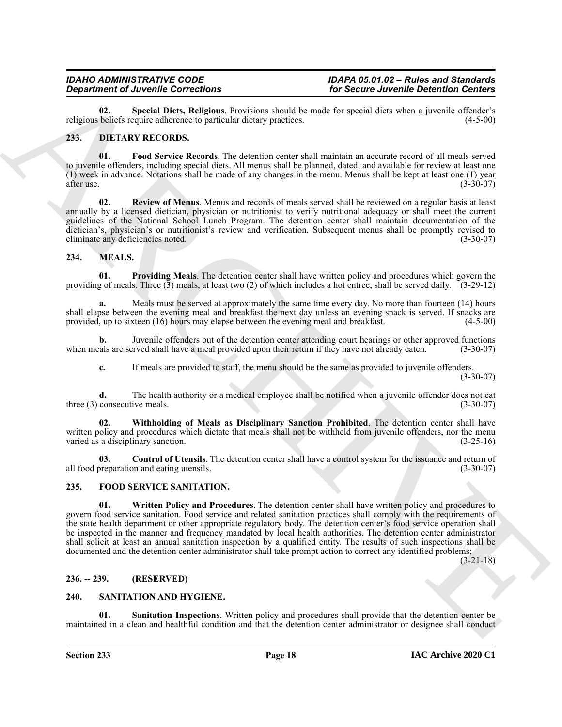<span id="page-17-16"></span>**02. Special Diets, Religious**. Provisions should be made for special diets when a juvenile offender's religious beliefs require adherence to particular dietary practices.

#### <span id="page-17-5"></span><span id="page-17-0"></span>**233. DIETARY RECORDS.**

<span id="page-17-6"></span>**01. Food Service Records**. The detention center shall maintain an accurate record of all meals served to juvenile offenders, including special diets. All menus shall be planned, dated, and available for review at least one (1) week in advance. Notations shall be made of any changes in the menu. Menus shall be kept at least one (1) year after use.  $(3-30-07)$ 

<span id="page-17-7"></span>**02. Review of Menus**. Menus and records of meals served shall be reviewed on a regular basis at least annually by a licensed dietician, physician or nutritionist to verify nutritional adequacy or shall meet the current guidelines of the National School Lunch Program. The detention center shall maintain documentation of the dietician's, physician's or nutritionist's review and verification. Subsequent menus shall be promptly revised to eliminate any deficiencies noted. (3-30-07)

#### <span id="page-17-10"></span><span id="page-17-1"></span>**234. MEALS.**

<span id="page-17-12"></span>**01. Providing Meals**. The detention center shall have written policy and procedures which govern the providing of meals. Three  $(\tilde{3})$  meals, at least two (2) of which includes a hot entree, shall be served daily.  $(3-29-12)$ 

**a.** Meals must be served at approximately the same time every day. No more than fourteen (14) hours shall elapse between the evening meal and breakfast the next day unless an evening snack is served. If snacks are provided, up to sixteen (16) hours may elapse between the evening meal and breakfast. (4-5-00)

**b.** Juvenile offenders out of the detention center attending court hearings or other approved functions when meals are served shall have a meal provided upon their return if they have not already eaten. (3-30-07)

<span id="page-17-13"></span>**c.** If meals are provided to staff, the menu should be the same as provided to juvenile offenders.

(3-30-07)

**d.** The health authority or a medical employee shall be notified when a juvenile offender does not eat three (3) consecutive meals. (3-30-07) (3-30-07)

**02. Withholding of Meals as Disciplinary Sanction Prohibited**. The detention center shall have written policy and procedures which dictate that meals shall not be withheld from juvenile offenders, nor the menu varied as a disciplinary sanction. (3-25-16)

<span id="page-17-11"></span>**03.** Control of Utensils. The detention center shall have a control system for the issuance and return of preparation and eating utensils. all food preparation and eating utensils.

#### <span id="page-17-9"></span><span id="page-17-8"></span><span id="page-17-2"></span>**235. FOOD SERVICE SANITATION.**

**Equation of Alexandre Controllers** (to the state of the state of the state of the state of the state of the state of the state of the state of the state of the state of the state of the state of the state of the state of **01. Written Policy and Procedures**. The detention center shall have written policy and procedures to govern food service sanitation. Food service and related sanitation practices shall comply with the requirements of the state health department or other appropriate regulatory body. The detention center's food service operation shall be inspected in the manner and frequency mandated by local health authorities. The detention center administrator shall solicit at least an annual sanitation inspection by a qualified entity. The results of such inspections shall be documented and the detention center administrator shall take prompt action to correct any identified problems;

(3-21-18)

#### <span id="page-17-3"></span>**236. -- 239. (RESERVED)**

#### <span id="page-17-14"></span><span id="page-17-4"></span>**240. SANITATION AND HYGIENE.**

<span id="page-17-15"></span>**Sanitation Inspections**. Written policy and procedures shall provide that the detention center be maintained in a clean and healthful condition and that the detention center administrator or designee shall conduct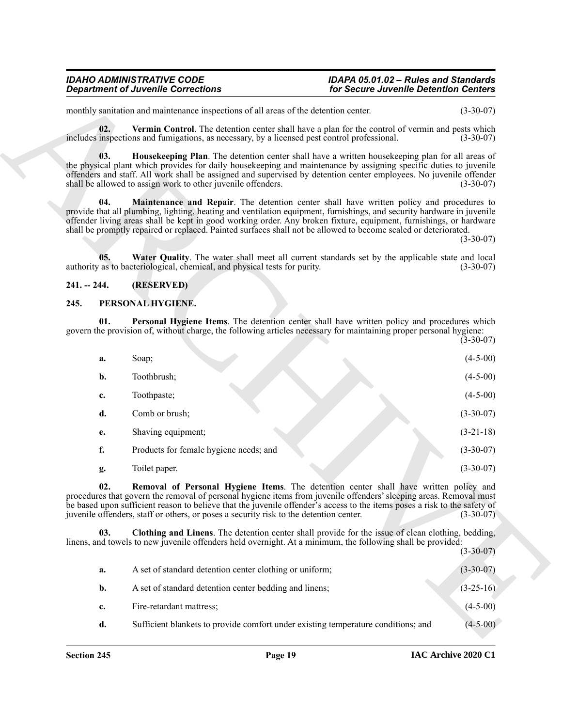### <span id="page-18-8"></span><span id="page-18-6"></span>*IDAHO ADMINISTRATIVE CODE IDAPA 05.01.02 – Rules and Standards*

#### <span id="page-18-9"></span><span id="page-18-7"></span><span id="page-18-0"></span>**241. -- 244. (RESERVED)**

#### <span id="page-18-4"></span><span id="page-18-2"></span><span id="page-18-1"></span>**245. PERSONAL HYGIENE.**

|               | <b>Department of Juvenile Corrections</b>                                                                                                                                                                                                                                                                                                                                                                                                                   | for Secure Juvenile Detention Centers |             |
|---------------|-------------------------------------------------------------------------------------------------------------------------------------------------------------------------------------------------------------------------------------------------------------------------------------------------------------------------------------------------------------------------------------------------------------------------------------------------------------|---------------------------------------|-------------|
|               | monthly sanitation and maintenance inspections of all areas of the detention center.                                                                                                                                                                                                                                                                                                                                                                        |                                       | $(3-30-07)$ |
| 02.           | Vermin Control. The detention center shall have a plan for the control of vermin and pests which<br>includes inspections and fumigations, as necessary, by a licensed pest control professional.                                                                                                                                                                                                                                                            |                                       | $(3-30-07)$ |
| 03.           | Housekeeping Plan. The detention center shall have a written housekeeping plan for all areas of<br>the physical plant which provides for daily housekeeping and maintenance by assigning specific duties to juvenile<br>offenders and staff. All work shall be assigned and supervised by detention center employees. No juvenile offender<br>shall be allowed to assign work to other juvenile offenders.                                                  |                                       | $(3-30-07)$ |
| 04.           | Maintenance and Repair. The detention center shall have written policy and procedures to<br>provide that all plumbing, lighting, heating and ventilation equipment, furnishings, and security hardware in juvenile<br>offender living areas shall be kept in good working order. Any broken fixture, equipment, furnishings, or hardware<br>shall be promptly repaired or replaced. Painted surfaces shall not be allowed to become scaled or deteriorated. |                                       | $(3-30-07)$ |
| 05.           | Water Quality. The water shall meet all current standards set by the applicable state and local<br>authority as to bacteriological, chemical, and physical tests for purity.                                                                                                                                                                                                                                                                                |                                       | $(3-30-07)$ |
| $241. - 244.$ | (RESERVED)                                                                                                                                                                                                                                                                                                                                                                                                                                                  |                                       |             |
| 245.          | PERSONAL HYGIENE.                                                                                                                                                                                                                                                                                                                                                                                                                                           |                                       |             |
| 01.           | Personal Hygiene Items. The detention center shall have written policy and procedures which<br>govern the provision of, without charge, the following articles necessary for maintaining proper personal hygiene:                                                                                                                                                                                                                                           |                                       | $(3-30-07)$ |
| a.            | Soap;                                                                                                                                                                                                                                                                                                                                                                                                                                                       |                                       | $(4-5-00)$  |
| b.            | Toothbrush;                                                                                                                                                                                                                                                                                                                                                                                                                                                 |                                       | $(4-5-00)$  |
| c.            | Toothpaste;                                                                                                                                                                                                                                                                                                                                                                                                                                                 |                                       | $(4-5-00)$  |
| d.            | Comb or brush;                                                                                                                                                                                                                                                                                                                                                                                                                                              |                                       | $(3-30-07)$ |
| е.            | Shaving equipment;                                                                                                                                                                                                                                                                                                                                                                                                                                          |                                       | $(3-21-18)$ |
| f.            | Products for female hygiene needs; and                                                                                                                                                                                                                                                                                                                                                                                                                      |                                       | $(3-30-07)$ |
|               |                                                                                                                                                                                                                                                                                                                                                                                                                                                             |                                       |             |
| g.            | Toilet paper.                                                                                                                                                                                                                                                                                                                                                                                                                                               |                                       | $(3-30-07)$ |
| 02.           | Removal of Personal Hygiene Items. The detention center shall have written policy and<br>procedures that govern the removal of personal hygiene items from juvenile offenders' sleeping areas. Removal must<br>be based upon sufficient reason to believe that the juvenile offender's access to the items poses a risk to the safety of<br>juvenile offenders, staff or others, or poses a security risk to the detention center.                          |                                       | $(3-30-07)$ |
| 03.           | Clothing and Linens. The detention center shall provide for the issue of clean clothing, bedding,<br>linens, and towels to new juvenile offenders held overnight. At a minimum, the following shall be provided:                                                                                                                                                                                                                                            |                                       | $(3-30-07)$ |
| a.            | A set of standard detention center clothing or uniform;                                                                                                                                                                                                                                                                                                                                                                                                     |                                       | $(3-30-07)$ |
| b.            | A set of standard detention center bedding and linens;                                                                                                                                                                                                                                                                                                                                                                                                      |                                       | $(3-25-16)$ |
| c.            | Fire-retardant mattress;                                                                                                                                                                                                                                                                                                                                                                                                                                    |                                       | $(4-5-00)$  |

<span id="page-18-5"></span><span id="page-18-3"></span>

|    |                                                                                   | $\sqrt{2}$ $\sqrt{2}$ $\sqrt{1}$ |
|----|-----------------------------------------------------------------------------------|----------------------------------|
| а. | A set of standard detention center clothing or uniform;                           | $(3-30-07)$                      |
| b. | A set of standard detention center bedding and linens;                            | $(3-25-16)$                      |
| c. | Fire-retardant mattress;                                                          | $(4-5-00)$                       |
| d. | Sufficient blankets to provide comfort under existing temperature conditions; and | $(4-5-00)$                       |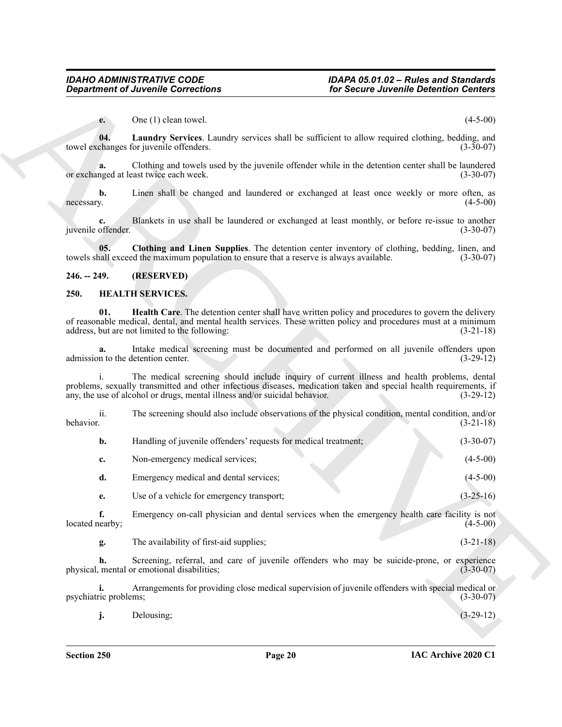#### <span id="page-19-4"></span><span id="page-19-3"></span><span id="page-19-2"></span><span id="page-19-1"></span><span id="page-19-0"></span>**250. HEALTH SERVICES.**

<span id="page-19-5"></span>

|                          | <b>Department of Juvenile Corrections</b>                                                                                                                                                        | for Secure Juvenile Detention Centers                                                                    |                            |
|--------------------------|--------------------------------------------------------------------------------------------------------------------------------------------------------------------------------------------------|----------------------------------------------------------------------------------------------------------|----------------------------|
| $e_{\cdot}$              | One (1) clean towel.                                                                                                                                                                             |                                                                                                          | $(4-5-00)$                 |
| 04.                      | towel exchanges for juvenile offenders.                                                                                                                                                          | <b>Laundry Services.</b> Laundry services shall be sufficient to allow required clothing, bedding, and   | $(3-30-07)$                |
| a.                       | or exchanged at least twice each week.                                                                                                                                                           | Clothing and towels used by the juvenile offender while in the detention center shall be laundered       | $(3-30-07)$                |
| b.<br>necessary.         |                                                                                                                                                                                                  | Linen shall be changed and laundered or exchanged at least once weekly or more often, as                 | $(4-5-00)$                 |
| c.<br>juvenile offender. |                                                                                                                                                                                                  | Blankets in use shall be laundered or exchanged at least monthly, or before re-issue to another          | $(3-30-07)$                |
| 05.                      | towels shall exceed the maximum population to ensure that a reserve is always available.                                                                                                         | Clothing and Linen Supplies. The detention center inventory of clothing, bedding, linen, and             | $(3-30-07)$                |
| $246. - 249.$            | (RESERVED)                                                                                                                                                                                       |                                                                                                          |                            |
| 250.                     | <b>HEALTH SERVICES.</b>                                                                                                                                                                          |                                                                                                          |                            |
| 01.                      | of reasonable medical, dental, and mental health services. These written policy and procedures must at a minimum<br>address, but are not limited to the following:                               | <b>Health Care.</b> The detention center shall have written policy and procedures to govern the delivery | $(3-21-18)$                |
| a.                       | admission to the detention center.                                                                                                                                                               | Intake medical screening must be documented and performed on all juvenile offenders upon                 | $(3-29-12)$                |
|                          | problems, sexually transmitted and other infectious diseases, medication taken and special health requirements, if<br>any, the use of alcohol or drugs, mental illness and/or suicidal behavior. | The medical screening should include inquiry of current illness and health problems, dental              | $(3-29-12)$                |
| ii.<br>behavior.         |                                                                                                                                                                                                  | The screening should also include observations of the physical condition, mental condition, and/or       | $(3-21-18)$                |
| $\mathbf{b}$ .           | Handling of juvenile offenders' requests for medical treatment;                                                                                                                                  |                                                                                                          | $(3-30-07)$                |
| c.                       | Non-emergency medical services;                                                                                                                                                                  |                                                                                                          | $(4-5-00)$                 |
| d.                       | Emergency medical and dental services;                                                                                                                                                           |                                                                                                          | $(4-5-00)$                 |
|                          | Use of a vehicle for emergency transport;                                                                                                                                                        |                                                                                                          | $(3-25-16)$                |
| e.                       |                                                                                                                                                                                                  |                                                                                                          |                            |
| f.<br>located nearby;    |                                                                                                                                                                                                  | Emergency on-call physician and dental services when the emergency health care facility is not           | $(4-5-00)$                 |
| g.                       | The availability of first-aid supplies;                                                                                                                                                          |                                                                                                          |                            |
| h.                       | physical, mental or emotional disabilities;                                                                                                                                                      | Screening, referral, and care of juvenile offenders who may be suicide-prone, or experience              | $(3-21-18)$<br>$(3-30-07)$ |
| psychiatric problems;    |                                                                                                                                                                                                  | Arrangements for providing close medical supervision of juvenile offenders with special medical or       | $(3-30-07)$                |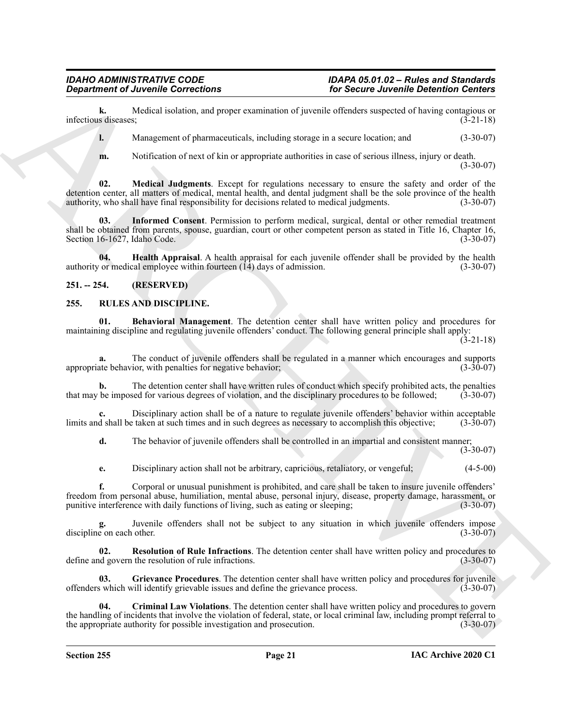**k.** Medical isolation, and proper examination of juvenile offenders suspected of having contagious or s diseases;<br>(3-21-18) infectious diseases:

**l.** Management of pharmaceuticals, including storage in a secure location; and  $(3-30-07)$ 

<span id="page-20-4"></span><span id="page-20-3"></span>**m.** Notification of next of kin or appropriate authorities in case of serious illness, injury or death. (3-30-07)

**Equivariant of Anciente Corrections**<br>
Interaction contribute to the state of the state of the state of the state of the state of the state of the state of the state of the state of the state of the state of the state of **02. Medical Judgments**. Except for regulations necessary to ensure the safety and order of the detention center, all matters of medical, mental health, and dental judgment shall be the sole province of the health authority, who shall have final responsibility for decisions related to medical judgments. (3-30-07)

**03. Informed Consent**. Permission to perform medical, surgical, dental or other remedial treatment shall be obtained from parents, spouse, guardian, court or other competent person as stated in Title 16, Chapter 16, Section 16-1627, Idaho Code. (3-30-07)

<span id="page-20-2"></span>**04. Health Appraisal**. A health appraisal for each juvenile offender shall be provided by the health authority or medical employee within fourteen  $(14)$  days of admission. (3-30-07)

<span id="page-20-0"></span>**251. -- 254. (RESERVED)**

#### <span id="page-20-6"></span><span id="page-20-1"></span>**255. RULES AND DISCIPLINE.**

<span id="page-20-5"></span>**01. Behavioral Management**. The detention center shall have written policy and procedures for maintaining discipline and regulating juvenile offenders' conduct. The following general principle shall apply:  $(3-21-18)$ 

**a.** The conduct of juvenile offenders shall be regulated in a manner which encourages and supports ate behavior, with penalties for negative behavior; appropriate behavior, with penalties for negative behavior;

**b.** The detention center shall have written rules of conduct which specify prohibited acts, the penalties that may be imposed for various degrees of violation, and the disciplinary procedures to be followed; (3-30-07)

**c.** Disciplinary action shall be of a nature to regulate juvenile offenders' behavior within acceptable d shall be taken at such times and in such degrees as necessary to accomplish this objective; (3-30-07) limits and shall be taken at such times and in such degrees as necessary to accomplish this objective;

**d.** The behavior of juvenile offenders shall be controlled in an impartial and consistent manner;  $(3-30-07)$ 

**e.** Disciplinary action shall not be arbitrary, capricious, retaliatory, or vengeful; (4-5-00)

**f.** Corporal or unusual punishment is prohibited, and care shall be taken to insure juvenile offenders' freedom from personal abuse, humiliation, mental abuse, personal injury, disease, property damage, harassment, or punitive interference with daily functions of living, such as eating or sleeping; (3-30-07) punitive interference with daily functions of living, such as eating or sleeping;

**g.** Juvenile offenders shall not be subject to any situation in which juvenile offenders impose discipline on each other. (3-30-07) (3-30-07)

<span id="page-20-9"></span>**02. Resolution of Rule Infractions**. The detention center shall have written policy and procedures to depote the resolution of rule infractions. (3-30-07) define and govern the resolution of rule infractions.

<span id="page-20-8"></span>**03. Grievance Procedures**. The detention center shall have written policy and procedures for juvenile offenders which will identify grievable issues and define the grievance process. (3-30-07)

<span id="page-20-7"></span>**04. Criminal Law Violations**. The detention center shall have written policy and procedures to govern the handling of incidents that involve the violation of federal, state, or local criminal law, including prompt referral to the appropriate authority for possible investigation and prosecution. (3-30-07)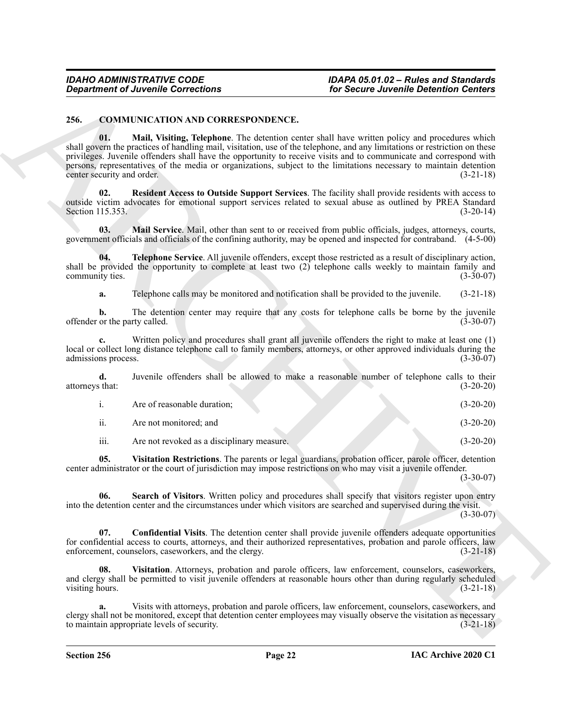#### <span id="page-21-4"></span><span id="page-21-1"></span><span id="page-21-0"></span>**256. COMMUNICATION AND CORRESPONDENCE.**

**Considerably Correlations**<br>
26. Secure Adventis Determine Correlations<br>
26. Secure Adventis Determine Correlations<br>
26. Secure Adventis Determine and the state and the state and the state policy and preceding which<br>
and **01. Mail, Visiting, Telephone**. The detention center shall have written policy and procedures which shall govern the practices of handling mail, visitation, use of the telephone, and any limitations or restriction on these privileges. Juvenile offenders shall have the opportunity to receive visits and to communicate and correspond with persons, representatives of the media or organizations, subject to the limitations necessary to maintain detention center security and order. (3-21-18)

<span id="page-21-5"></span>**02. Resident Access to Outside Support Services**. The facility shall provide residents with access to outside victim advocates for emotional support services related to sexual abuse as outlined by PREA Standard Section 115.353. (3-20-14)

<span id="page-21-3"></span>**03. Mail Service**. Mail, other than sent to or received from public officials, judges, attorneys, courts, government officials and officials of the confining authority, may be opened and inspected for contraband. (4-5-00)

**04. Telephone Service**. All juvenile offenders, except those restricted as a result of disciplinary action, shall be provided the opportunity to complete at least two (2) telephone calls weekly to maintain family and community ties. (3-30-07)

<span id="page-21-7"></span>**a.** Telephone calls may be monitored and notification shall be provided to the juvenile. (3-21-18)

**b.** The detention center may require that any costs for telephone calls be borne by the juvenile offender or the party called. (3-30-07)

**c.** Written policy and procedures shall grant all juvenile offenders the right to make at least one (1) local or collect long distance telephone call to family members, attorneys, or other approved individuals during the admissions process. (3-30-07) admissions process.

**d.** Juvenile offenders shall be allowed to make a reasonable number of telephone calls to their attorneys that: (3-20-20)

|      | Are of reasonable duration:                | $(3-20-20)$ |
|------|--------------------------------------------|-------------|
| ii.  | Are not monitored: and                     | $(3-20-20)$ |
| iii. | Are not revoked as a disciplinary measure. | $(3-20-20)$ |

<span id="page-21-9"></span><span id="page-21-6"></span>**05. Visitation Restrictions**. The parents or legal guardians, probation officer, parole officer, detention

center administrator or the court of jurisdiction may impose restrictions on who may visit a juvenile offender.  $(3-30-07)$ 

**06. Search of Visitors**. Written policy and procedures shall specify that visitors register upon entry into the detention center and the circumstances under which visitors are searched and supervised during the visit.

(3-30-07)

<span id="page-21-2"></span>**07. Confidential Visits**. The detention center shall provide juvenile offenders adequate opportunities for confidential access to courts, attorneys, and their authorized representatives, probation and parole officers, law enforcement, counselors, caseworkers, and the clergy. (3-21-18) enforcement, counselors, caseworkers, and the clergy.

<span id="page-21-8"></span>**08. Visitation**. Attorneys, probation and parole officers, law enforcement, counselors, caseworkers, and clergy shall be permitted to visit juvenile offenders at reasonable hours other than during regularly scheduled visiting hours. (3-21-18)

**a.** Visits with attorneys, probation and parole officers, law enforcement, counselors, caseworkers, and clergy shall not be monitored, except that detention center employees may visually observe the visitation as necessary to maintain appropriate levels of security. (3-21-18)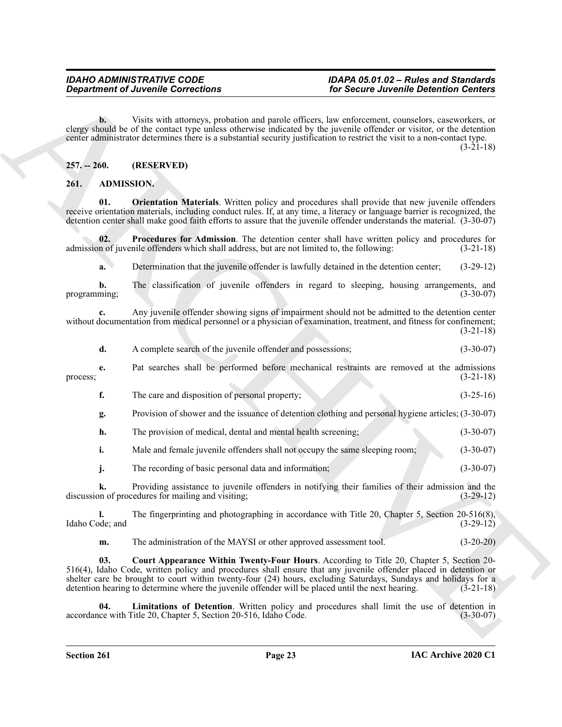**b.** Visits with attorneys, probation and parole officers, law enforcement, counselors, caseworkers, or clergy should be of the contact type unless otherwise indicated by the juvenile offender or visitor, or the detention center administrator determines there is a substantial security justification to restrict the visit to a non-contact type.  $(3-21-18)$ 

#### <span id="page-22-0"></span>**257. -- 260. (RESERVED)**

#### <span id="page-22-5"></span><span id="page-22-2"></span><span id="page-22-1"></span>**261. ADMISSION.**

**01. Orientation Materials**. Written policy and procedures shall provide that new juvenile offenders receive orientation materials, including conduct rules. If, at any time, a literacy or language barrier is recognized, the detention center shall make good faith efforts to assure that the juvenile offender understands the material. (3-30-07)

**02. Procedures for Admission**. The detention center shall have written policy and procedures for admission of juvenile offenders which shall address, but are not limited to, the following: (3-21-18)

<span id="page-22-6"></span>**a.** Determination that the juvenile offender is lawfully detained in the detention center; (3-29-12)

**b.** The classification of juvenile offenders in regard to sleeping, housing arrangements, and programming;  $(3-30-07)$ 

**c.** Any juvenile offender showing signs of impairment should not be admitted to the detention center without documentation from medical personnel or a physician of examination, treatment, and fitness for confinement; (3-21-18)

| A complete search of the juvenile offender and possessions: | $(3-30-07)$ |
|-------------------------------------------------------------|-------------|
|                                                             |             |

**e.** Pat searches shall be performed before mechanical restraints are removed at the admissions process;  $(3-21-18)$ 

- **f.** The care and disposition of personal property; (3-25-16)
- **g.** Provision of shower and the issuance of detention clothing and personal hygiene articles; (3-30-07)
- **h.** The provision of medical, dental and mental health screening; (3-30-07)

**i.** Male and female juvenile offenders shall not occupy the same sleeping room; (3-30-07)

**j.** The recording of basic personal data and information; (3-30-07)

**k.** Providing assistance to juvenile offenders in notifying their families of their admission and the on of procedures for mailing and visiting; discussion of procedures for mailing and visiting;

**l.** The fingerprinting and photographing in accordance with Title 20, Chapter 5, Section 20-516(8), ode; and (3-29-12) Idaho Code; and

<span id="page-22-4"></span><span id="page-22-3"></span>**m.** The administration of the MAYSI or other approved assessment tool. (3-20-20)

**Considerable Connections**<br>
Consider and possible to the content of the state of the state of the state of the state of the state of the state of the state of the state of the state of the state of the state of the state **03. Court Appearance Within Twenty-Four Hours**. According to Title 20, Chapter 5, Section 20- 516(4), Idaho Code, written policy and procedures shall ensure that any juvenile offender placed in detention or shelter care be brought to court within twenty-four (24) hours, excluding Saturdays, Sundays and holidays for a detention hearing to determine where the juvenile offender will be placed until the next hearing. (3-21-18)

**04.** Limitations of Detention. Written policy and procedures shall limit the use of detention in ce with Title 20, Chapter 5, Section 20-516, Idaho Code. (3-30-07) accordance with Title 20, Chapter 5, Section 20-516, Idaho Code.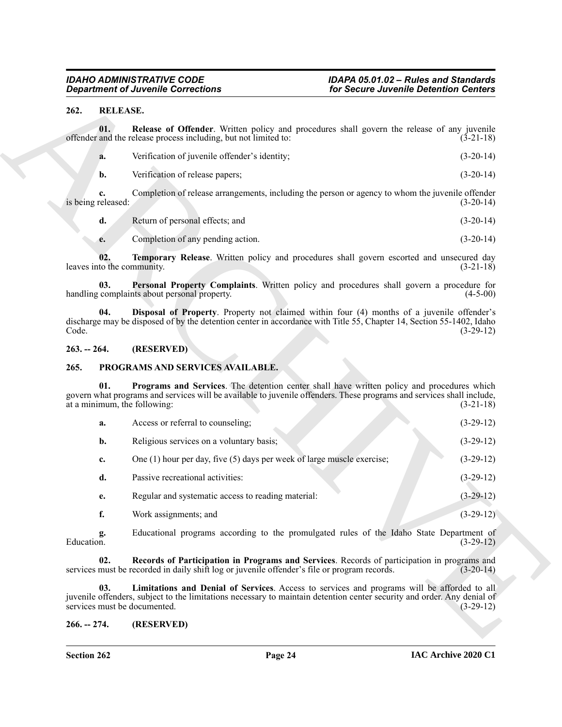#### <span id="page-23-8"></span><span id="page-23-0"></span>**262. RELEASE.**

<span id="page-23-12"></span><span id="page-23-11"></span>

| Verification of juvenile offender's identity; | $(3-20-14)$ |
|-----------------------------------------------|-------------|
| Verification of release papers;               | $(3-20-14)$ |

#### <span id="page-23-10"></span><span id="page-23-9"></span><span id="page-23-1"></span>**263. -- 264. (RESERVED)**

#### <span id="page-23-6"></span><span id="page-23-4"></span><span id="page-23-2"></span>**265. PROGRAMS AND SERVICES AVAILABLE.**

| <b>Department of Juvenile Corrections</b> |                          |                                                                                                                                                                                                                                                        | for Secure Juvenile Detention Centers |                                           |
|-------------------------------------------|--------------------------|--------------------------------------------------------------------------------------------------------------------------------------------------------------------------------------------------------------------------------------------------------|---------------------------------------|-------------------------------------------|
| 262.                                      | <b>RELEASE.</b>          |                                                                                                                                                                                                                                                        |                                       |                                           |
|                                           | 01.                      | Release of Offender. Written policy and procedures shall govern the release of any juvenile<br>offender and the release process including, but not limited to:                                                                                         |                                       | $(3-21-18)$                               |
|                                           | a.                       | Verification of juvenile offender's identity;                                                                                                                                                                                                          |                                       | $(3-20-14)$                               |
|                                           | $\mathbf{b}$ .           | Verification of release papers;                                                                                                                                                                                                                        |                                       | $(3-20-14)$                               |
|                                           | c.<br>is being released: | Completion of release arrangements, including the person or agency to whom the juvenile offender                                                                                                                                                       |                                       | $(3-20-14)$                               |
|                                           | d.                       | Return of personal effects; and                                                                                                                                                                                                                        |                                       | $(3-20-14)$                               |
|                                           | e.                       | Completion of any pending action.                                                                                                                                                                                                                      |                                       | $(3-20-14)$                               |
|                                           | 02.                      | Temporary Release. Written policy and procedures shall govern escorted and unsecured day<br>leaves into the community.                                                                                                                                 |                                       | $(3-21-18)$                               |
|                                           | 03.                      | Personal Property Complaints. Written policy and procedures shall govern a procedure for<br>handling complaints about personal property.                                                                                                               |                                       | $(4-5-00)$                                |
| Code.                                     | 04.                      | Disposal of Property. Property not claimed within four (4) months of a juvenile offender's<br>discharge may be disposed of by the detention center in accordance with Title 55, Chapter 14, Section 55-1402, Idaho                                     |                                       | $(3-29-12)$                               |
| $263. - 264.$                             |                          | (RESERVED)                                                                                                                                                                                                                                             |                                       |                                           |
| 265.                                      |                          | PROGRAMS AND SERVICES AVAILABLE.                                                                                                                                                                                                                       |                                       |                                           |
|                                           | 01.                      | Programs and Services. The detention center shall have written policy and procedures which<br>govern what programs and services will be available to juvenile offenders. These programs and services shall include,<br>at a minimum, the following:    |                                       | $(3-21-18)$                               |
|                                           | a.                       | Access or referral to counseling;                                                                                                                                                                                                                      |                                       | $(3-29-12)$                               |
|                                           | b.                       |                                                                                                                                                                                                                                                        |                                       |                                           |
|                                           |                          | Religious services on a voluntary basis;                                                                                                                                                                                                               |                                       |                                           |
|                                           | c.                       | One $(1)$ hour per day, five $(5)$ days per week of large muscle exercise;                                                                                                                                                                             |                                       |                                           |
|                                           | d.                       | Passive recreational activities:                                                                                                                                                                                                                       |                                       | $(3-29-12)$                               |
|                                           | e.                       | Regular and systematic access to reading material:                                                                                                                                                                                                     |                                       | $(3-29-12)$                               |
|                                           | f.                       | Work assignments; and                                                                                                                                                                                                                                  |                                       | $(3-29-12)$<br>$(3-29-12)$<br>$(3-29-12)$ |
| Education.                                | g.                       | Educational programs according to the promulgated rules of the Idaho State Department of                                                                                                                                                               |                                       | $(3-29-12)$                               |
|                                           | 02.                      | Records of Participation in Programs and Services. Records of participation in programs and<br>services must be recorded in daily shift log or juvenile offender's file or program records.                                                            |                                       |                                           |
|                                           | 03.                      | Limitations and Denial of Services. Access to services and programs will be afforded to all<br>juvenile offenders, subject to the limitations necessary to maintain detention center security and order. Any denial of<br>services must be documented. |                                       | $(3-20-14)$<br>$(3-29-12)$                |

#### <span id="page-23-7"></span><span id="page-23-5"></span><span id="page-23-3"></span>**266. -- 274. (RESERVED)**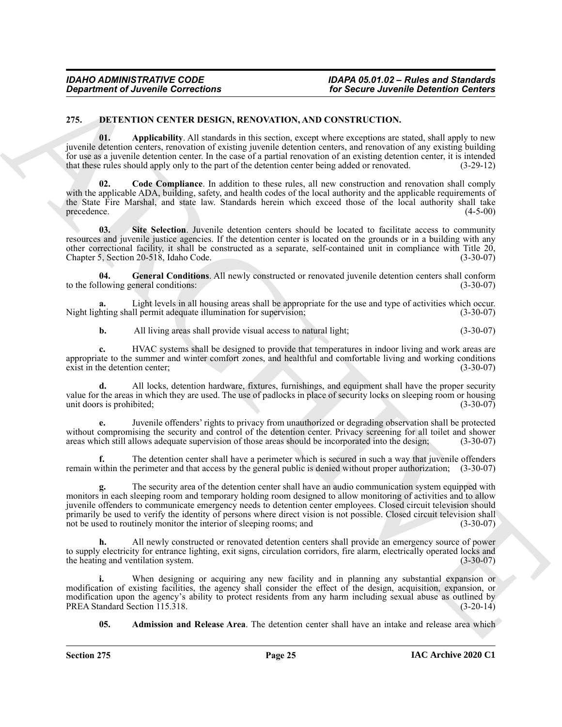#### <span id="page-24-3"></span><span id="page-24-1"></span><span id="page-24-0"></span>**275. DETENTION CENTER DESIGN, RENOVATION, AND CONSTRUCTION.**

**01. Applicability**. All standards in this section, except where exceptions are stated, shall apply to new juvenile detention centers, renovation of existing juvenile detention centers, and renovation of any existing building for use as a juvenile detention center. In the case of a partial renovation of an existing detention center, it is intended that these rules should apply only to the part of the detention center being added or renovated. ( that these rules should apply only to the part of the detention center being added or renovated.

<span id="page-24-4"></span>**02. Code Compliance**. In addition to these rules, all new construction and renovation shall comply with the applicable ADA, building, safety, and health codes of the local authority and the applicable requirements of the State Fire Marshal, and state law. Standards herein which exceed those of the local authority shall take precedence. (4-5-00)

<span id="page-24-6"></span>**03. Site Selection**. Juvenile detention centers should be located to facilitate access to community resources and juvenile justice agencies. If the detention center is located on the grounds or in a building with any other correctional facility, it shall be constructed as a separate, self-contained unit in compliance with Title 20, Chapter 5, Section 20-518, Idaho Code.

<span id="page-24-5"></span>**04. General Conditions**. All newly constructed or renovated juvenile detention centers shall conform to the following general conditions: (3-30-07)

**a.** Light levels in all housing areas shall be appropriate for the use and type of activities which occur.<br>hting shall permit adequate illumination for supervision; (3-30-07) Night lighting shall permit adequate illumination for supervision;

**b.** All living areas shall provide visual access to natural light;  $(3-30-07)$ 

**c.** HVAC systems shall be designed to provide that temperatures in indoor living and work areas are appropriate to the summer and winter comfort zones, and healthful and comfortable living and working conditions exist in the detention center; (3-30-07)

**d.** All locks, detention hardware, fixtures, furnishings, and equipment shall have the proper security value for the areas in which they are used. The use of padlocks in place of security locks on sleeping room or housing unit doors is prohibited; (3-30-07) (3-30-07)

**e.** Juvenile offenders' rights to privacy from unauthorized or degrading observation shall be protected without compromising the security and control of the detention center. Privacy screening for all toilet and shower areas which still allows adequate supervision of those areas should be incorporated into the design; (3-30-07)

**f.** The detention center shall have a perimeter which is secured in such a way that juvenile offenders remain within the perimeter and that access by the general public is denied without proper authorization; (3-30-07)

General of Ancesnie Corrections<br>
225. DELTANDON ISSUE ALL SCANDATION AND CONSTRUCTOON.<br>
225. DELTANDON ARCHIVES ALL SCANDATION AND CONSTRUCTOON THE CONSTRUCTOON AND CONSTRUCTOON AND CONSTRUCTOON ARCHIVES ARE CONSTRUCTOON **g.** The security area of the detention center shall have an audio communication system equipped with monitors in each sleeping room and temporary holding room designed to allow monitoring of activities and to allow juvenile offenders to communicate emergency needs to detention center employees. Closed circuit television should primarily be used to verify the identity of persons where direct vision is not possible. Closed circuit television shall not be used to routinely monitor the interior of sleeping rooms; and (3-30-07) not be used to routinely monitor the interior of sleeping rooms; and

**h.** All newly constructed or renovated detention centers shall provide an emergency source of power to supply electricity for entrance lighting, exit signs, circulation corridors, fire alarm, electrically operated locks and<br>(3-30-07) (3-30-07) the heating and ventilation system.

When designing or acquiring any new facility and in planning any substantial expansion or modification of existing facilities, the agency shall consider the effect of the design, acquisition, expansion, or modification upon the agency's ability to protect residents from any harm including sexual abuse as outlined by<br>PREA Standard Section 115.318. (3-20-14) PREA Standard Section 115.318.

<span id="page-24-2"></span>**05. Admission and Release Area**. The detention center shall have an intake and release area which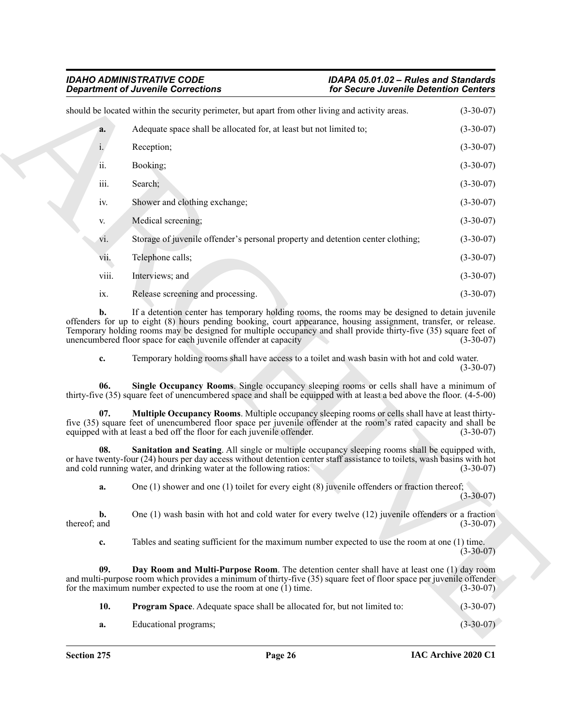## *Department of Juvenile Corrections for Secure Juvenile Detention Centers*

|                                | <b>Department of Juvenile Corrections</b><br>for Secure Juvenile Detention Centers                                                                                                                                                                                                                                                                                                                         |                                           |
|--------------------------------|------------------------------------------------------------------------------------------------------------------------------------------------------------------------------------------------------------------------------------------------------------------------------------------------------------------------------------------------------------------------------------------------------------|-------------------------------------------|
|                                | should be located within the security perimeter, but apart from other living and activity areas.                                                                                                                                                                                                                                                                                                           | $(3-30-07)$                               |
| a.                             | Adequate space shall be allocated for, at least but not limited to;                                                                                                                                                                                                                                                                                                                                        | $(3-30-07)$                               |
| i.                             | Reception;                                                                                                                                                                                                                                                                                                                                                                                                 | $(3-30-07)$                               |
| ii.                            | Booking;                                                                                                                                                                                                                                                                                                                                                                                                   | $(3-30-07)$                               |
| iii.                           | Search;                                                                                                                                                                                                                                                                                                                                                                                                    | $(3-30-07)$                               |
| iv.                            | Shower and clothing exchange;                                                                                                                                                                                                                                                                                                                                                                              | $(3-30-07)$                               |
| V.                             | Medical screening;                                                                                                                                                                                                                                                                                                                                                                                         | $(3-30-07)$                               |
| V1.                            | Storage of juvenile offender's personal property and detention center clothing;                                                                                                                                                                                                                                                                                                                            | $(3-30-07)$                               |
| V11.                           | Telephone calls;                                                                                                                                                                                                                                                                                                                                                                                           | $(3-30-07)$                               |
| viii.                          | Interviews; and                                                                                                                                                                                                                                                                                                                                                                                            | $(3-30-07)$                               |
| ix.                            | Release screening and processing.                                                                                                                                                                                                                                                                                                                                                                          | $(3-30-07)$                               |
| b.                             | If a detention center has temporary holding rooms, the rooms may be designed to detain juvenile<br>offenders for up to eight (8) hours pending booking, court appearance, housing assignment, transfer, or release.<br>Temporary holding rooms may be designed for multiple occupancy and shall provide thirty-five (35) square feet of<br>unencumbered floor space for each juvenile offender at capacity | $(3-30-07)$                               |
|                                |                                                                                                                                                                                                                                                                                                                                                                                                            |                                           |
| c.                             | Temporary holding rooms shall have access to a toilet and wash basin with hot and cold water.                                                                                                                                                                                                                                                                                                              | $(3-30-07)$                               |
| 06.                            | Single Occupancy Rooms. Single occupancy sleeping rooms or cells shall have a minimum of<br>thirty-five (35) square feet of unencumbered space and shall be equipped with at least a bed above the floor. (4-5-00)                                                                                                                                                                                         |                                           |
| 07.                            | Multiple Occupancy Rooms. Multiple occupancy sleeping rooms or cells shall have at least thirty-<br>five (35) square feet of unencumbered floor space per juvenile offender at the room's rated capacity and shall be<br>equipped with at least a bed off the floor for each juvenile offender.                                                                                                            |                                           |
| 08.                            | Sanitation and Seating. All single or multiple occupancy sleeping rooms shall be equipped with,<br>or have twenty-four (24) hours per day access without detention center staff assistance to toilets, wash basins with hot<br>and cold running water, and drinking water at the following ratios:                                                                                                         |                                           |
| a.                             | One (1) shower and one (1) toilet for every eight (8) juvenile offenders or fraction thereof;                                                                                                                                                                                                                                                                                                              | $(3 - 30 - 07)$                           |
| $\mathbf{b}$ .<br>thereof; and | One $(1)$ wash basin with hot and cold water for every twelve $(12)$ juvenile offenders or a fraction                                                                                                                                                                                                                                                                                                      | $(3-30-07)$<br>$(3-30-07)$<br>$(3-30-07)$ |
| c.                             | Tables and seating sufficient for the maximum number expected to use the room at one (1) time.                                                                                                                                                                                                                                                                                                             | $(3-30-07)$                               |
| 09.                            | Day Room and Multi-Purpose Room. The detention center shall have at least one (1) day room<br>and multi-purpose room which provides a minimum of thirty-five (35) square feet of floor space per juvenile offender<br>for the maximum number expected to use the room at one $(1)$ time.                                                                                                                   | $(3-30-07)$                               |
| 10.                            | Program Space. Adequate space shall be allocated for, but not limited to:                                                                                                                                                                                                                                                                                                                                  | $(3-30-07)$                               |

<span id="page-25-4"></span><span id="page-25-3"></span><span id="page-25-2"></span><span id="page-25-1"></span><span id="page-25-0"></span>

| 10. | <b>Program Space.</b> Adequate space shall be allocated for, but not limited to: | $(3-30-07)$ |
|-----|----------------------------------------------------------------------------------|-------------|
|     |                                                                                  |             |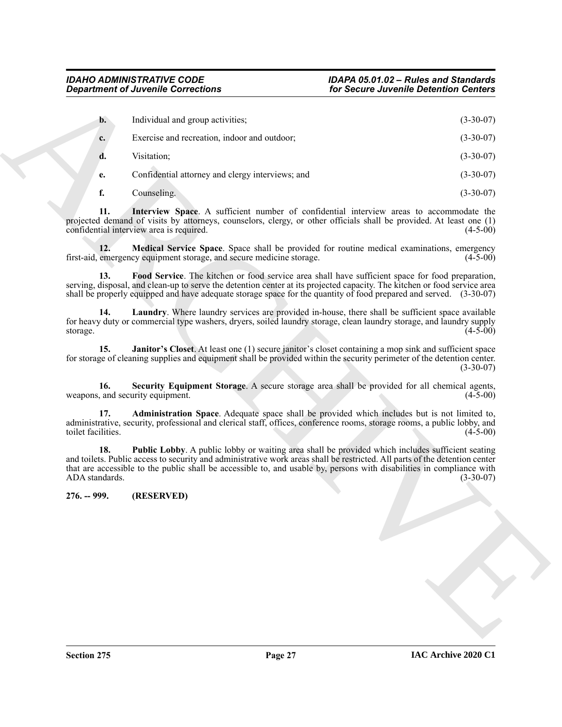<span id="page-26-8"></span><span id="page-26-7"></span><span id="page-26-6"></span><span id="page-26-5"></span><span id="page-26-4"></span><span id="page-26-3"></span><span id="page-26-2"></span><span id="page-26-1"></span><span id="page-26-0"></span>

| <b>Department of Juvenile Corrections</b> |                                                                                                                                                                                                                                                                                                                                                          | for Secure Juvenile Detention Centers |             |
|-------------------------------------------|----------------------------------------------------------------------------------------------------------------------------------------------------------------------------------------------------------------------------------------------------------------------------------------------------------------------------------------------------------|---------------------------------------|-------------|
| $\mathbf{b}$ .                            | Individual and group activities;                                                                                                                                                                                                                                                                                                                         |                                       | $(3-30-07)$ |
|                                           | Exercise and recreation, indoor and outdoor;                                                                                                                                                                                                                                                                                                             |                                       | $(3-30-07)$ |
| c.                                        |                                                                                                                                                                                                                                                                                                                                                          |                                       |             |
| d.                                        | Visitation;                                                                                                                                                                                                                                                                                                                                              |                                       | $(3-30-07)$ |
| e.                                        | Confidential attorney and clergy interviews; and                                                                                                                                                                                                                                                                                                         |                                       | $(3-30-07)$ |
| f.                                        | Counseling.                                                                                                                                                                                                                                                                                                                                              |                                       | $(3-30-07)$ |
| 11.                                       | Interview Space. A sufficient number of confidential interview areas to accommodate the<br>projected demand of visits by attorneys, counselors, clergy, or other officials shall be provided. At least one (1)<br>confidential interview area is required.                                                                                               |                                       | $(4-5-00)$  |
| 12.                                       | Medical Service Space. Space shall be provided for routine medical examinations, emergency<br>first-aid, emergency equipment storage, and secure medicine storage.                                                                                                                                                                                       |                                       | $(4-5-00)$  |
| 13.                                       | Food Service. The kitchen or food service area shall have sufficient space for food preparation,<br>serving, disposal, and clean-up to serve the detention center at its projected capacity. The kitchen or food service area<br>shall be properly equipped and have adequate storage space for the quantity of food prepared and served. (3-30-07)      |                                       |             |
| 14.<br>storage.                           | Laundry. Where laundry services are provided in-house, there shall be sufficient space available<br>for heavy duty or commercial type washers, dryers, soiled laundry storage, clean laundry storage, and laundry supply                                                                                                                                 |                                       | $(4-5-00)$  |
| 15.                                       | Janitor's Closet. At least one (1) secure janitor's closet containing a mop sink and sufficient space<br>for storage of cleaning supplies and equipment shall be provided within the security perimeter of the detention center.                                                                                                                         |                                       | $(3-30-07)$ |
| 16.                                       | Security Equipment Storage. A secure storage area shall be provided for all chemical agents,<br>weapons, and security equipment.                                                                                                                                                                                                                         |                                       | $(4-5-00)$  |
| 17.<br>toilet facilities.                 | Administration Space. Adequate space shall be provided which includes but is not limited to,<br>administrative, security, professional and clerical staff, offices, conference rooms, storage rooms, a public lobby, and                                                                                                                                 |                                       | $(4-5-00)$  |
| 18.<br>ADA standards.                     | Public Lobby. A public lobby or waiting area shall be provided which includes sufficient seating<br>and toilets. Public access to security and administrative work areas shall be restricted. All parts of the detention center<br>that are accessible to the public shall be accessible to, and usable by, persons with disabilities in compliance with |                                       | $(3-30-07)$ |
| 276. -- 999.                              | (RESERVED)                                                                                                                                                                                                                                                                                                                                               |                                       |             |
|                                           |                                                                                                                                                                                                                                                                                                                                                          |                                       |             |
|                                           |                                                                                                                                                                                                                                                                                                                                                          |                                       |             |
|                                           |                                                                                                                                                                                                                                                                                                                                                          |                                       |             |
|                                           |                                                                                                                                                                                                                                                                                                                                                          |                                       |             |
|                                           |                                                                                                                                                                                                                                                                                                                                                          |                                       |             |
|                                           |                                                                                                                                                                                                                                                                                                                                                          |                                       |             |
|                                           |                                                                                                                                                                                                                                                                                                                                                          |                                       |             |
|                                           |                                                                                                                                                                                                                                                                                                                                                          |                                       |             |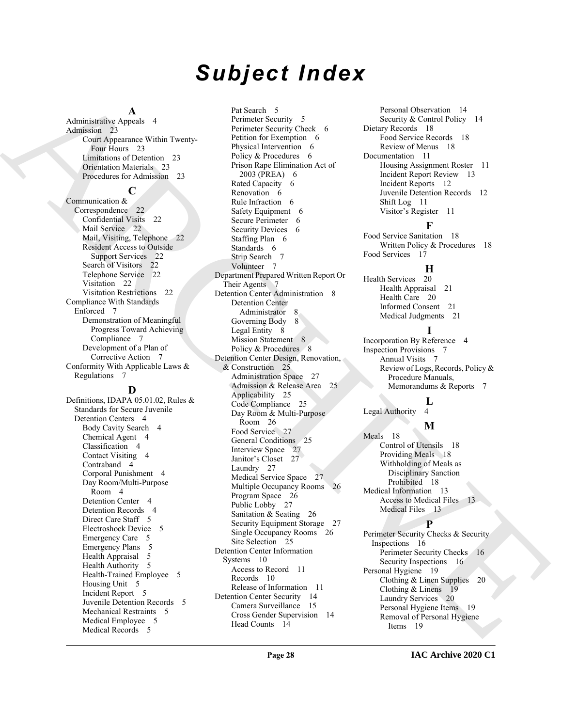# *Subject Index*

#### **A**

Administrative Appeals 4 Admission 23 Court Appearance Within Twenty-Four Hours 23 Limitations of Detention 23 Orientation Materials 23 Procedures for Admission 23

#### **C**

Communication & Correspondence 22 Confidential Visits 22 Mail Service 22 Mail, Visiting, Telephone 22 Resident Access to Outside Support Services 22 Search of Visitors 22 Telephone Service 22 Visitation 22 Visitation Restrictions 22 Compliance With Standards Enforced 7 Demonstration of Meaningful Progress Toward Achieving Compliance 7 Development of a Plan of Corrective Action 7 Conformity With Applicable Laws & Regulations 7

#### **D**

Definitions, IDAPA 05.01.02, Rules & Standards for Secure Juvenile Detention Centers 4 Body Cavity Search 4 Chemical Agent 4 Classification 4 Contact Visiting 4 Contraband 4 Corporal Punishment 4 Day Room/Multi-Purpose Room 4 Detention Center 4 Detention Records 4 Direct Care Staff 5 Electroshock Device 5 Emergency Care 5 Emergency Plans 5 Health Appraisal 5 Health Authority 5 Health-Trained Employee 5 Housing Unit 5 Incident Report 5 Juvenile Detention Records 5 Mechanical Restraints 5 Medical Employee 5 Medical Records 5

[A](#page-22-3)dministration Andre in the control of the state of the state of the state of the state of the state of the state of the state of the state of the state of the state of the state of the state of the state of the state of Pat Search 5 Perimeter Security 5 Perimeter Security Check 6 Petition for Exemption 6 Physical Intervention 6 Policy & Procedures 6 Prison Rape Elimination Act of 2003 (PREA) 6 Rated Capacity 6 Renovation 6 Rule Infraction 6 Safety Equipment 6 Secure Perimeter 6 Security Devices 6 Staffing Plan 6 Standards 6 Strip Search 7 Volunteer 7 Department Prepared Written Report Or Their Agents 7 Detention Center Administration 8 Detention Center Administrator 8 Governing Body 8 Legal Entity 8 Mission Statement 8 Policy & Procedures 8 Detention Center Design, Renovation, & Construction 25 Administration Space 27 Admission & Release Area 25 Applicability 25 Code Compliance 25 Day Room & Multi-Purpose Room 26 Food Service 27 General Conditions 25 Interview Space 27 Janitor's Closet 27 Laundry 27 Medical Service Space 27 Multiple Occupancy Rooms 26 Program Space 26 Public Lobby 27 Sanitation & Seating 26 Security Equipment Storage 27 Single Occupancy Rooms 26 Site Selection 25 Detention Center Information Systems 10 Access to Record 11 Records 10 Release of Information 11 Detention Center Security 14 Camera Surveillance 15 Cross Gender Supervision 14 Head Counts 14

Personal Observation 14 Security & Control Policy 14 Dietary Records 18 Food Service Records 18 Review of Menus 18 Documentation 11 Housing Assignment Roster 11 Incident Report Review 13 Incident Reports 12 Juvenile Detention Records 12 Shift Log 11 Visitor's Register 11

#### **F**

Food Service Sanitation 18 Written Policy & Procedures 18 Food Services 17

#### **H**

Health Services 20 Health Appraisal 21 Health Care 20 Informed Consent 21 Medical Judgments 21

**I** Incorporation By Reference 4 Inspection Provisions 7 Annual Visits 7 Review of Logs, Records, Policy & Procedure Manuals, Memorandums & Reports 7

### **L**

Legal Authority

#### **M**

Meals 18 Control of Utensils 18 Providing Meals 18 Withholding of Meals as Disciplinary Sanction Prohibited 18 Medical Information 13 Access to Medical Files 13 Medical Files 13

#### **P**

Perimeter Security Checks & Security Inspections 16 Perimeter Security Checks 16 Security Inspections 16 Personal Hygiene 19 Clothing & Linen Supplies 20 Clothing & Linens 19 Laundry Services 20 Personal Hygiene Items 19 Removal of Personal Hygiene Items 19